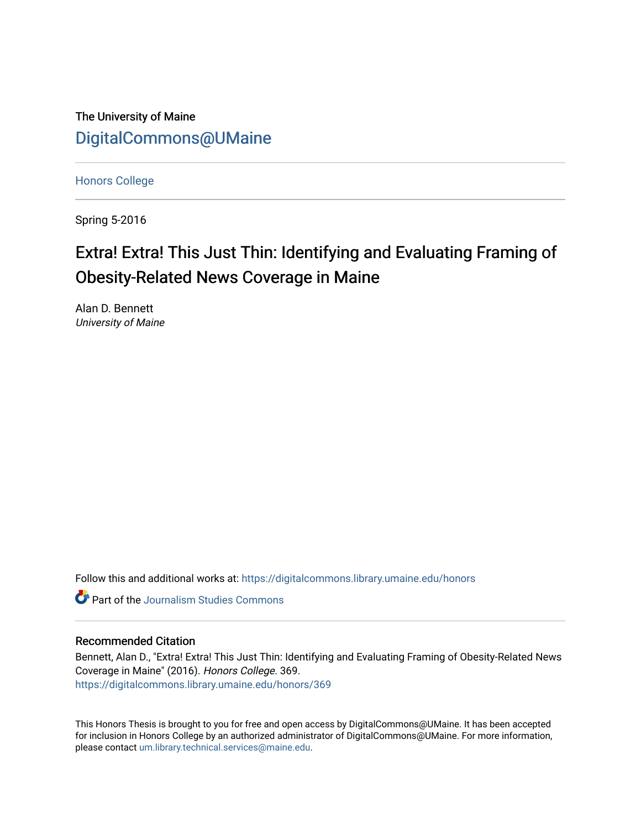The University of Maine [DigitalCommons@UMaine](https://digitalcommons.library.umaine.edu/)

[Honors College](https://digitalcommons.library.umaine.edu/honors)

Spring 5-2016

# Extra! Extra! This Just Thin: Identifying and Evaluating Framing of Obesity-Related News Coverage in Maine

Alan D. Bennett University of Maine

Follow this and additional works at: [https://digitalcommons.library.umaine.edu/honors](https://digitalcommons.library.umaine.edu/honors?utm_source=digitalcommons.library.umaine.edu%2Fhonors%2F369&utm_medium=PDF&utm_campaign=PDFCoverPages) 

**C** Part of the [Journalism Studies Commons](http://network.bepress.com/hgg/discipline/333?utm_source=digitalcommons.library.umaine.edu%2Fhonors%2F369&utm_medium=PDF&utm_campaign=PDFCoverPages)

### Recommended Citation

Bennett, Alan D., "Extra! Extra! This Just Thin: Identifying and Evaluating Framing of Obesity-Related News Coverage in Maine" (2016). Honors College. 369. [https://digitalcommons.library.umaine.edu/honors/369](https://digitalcommons.library.umaine.edu/honors/369?utm_source=digitalcommons.library.umaine.edu%2Fhonors%2F369&utm_medium=PDF&utm_campaign=PDFCoverPages) 

This Honors Thesis is brought to you for free and open access by DigitalCommons@UMaine. It has been accepted for inclusion in Honors College by an authorized administrator of DigitalCommons@UMaine. For more information, please contact [um.library.technical.services@maine.edu.](mailto:um.library.technical.services@maine.edu)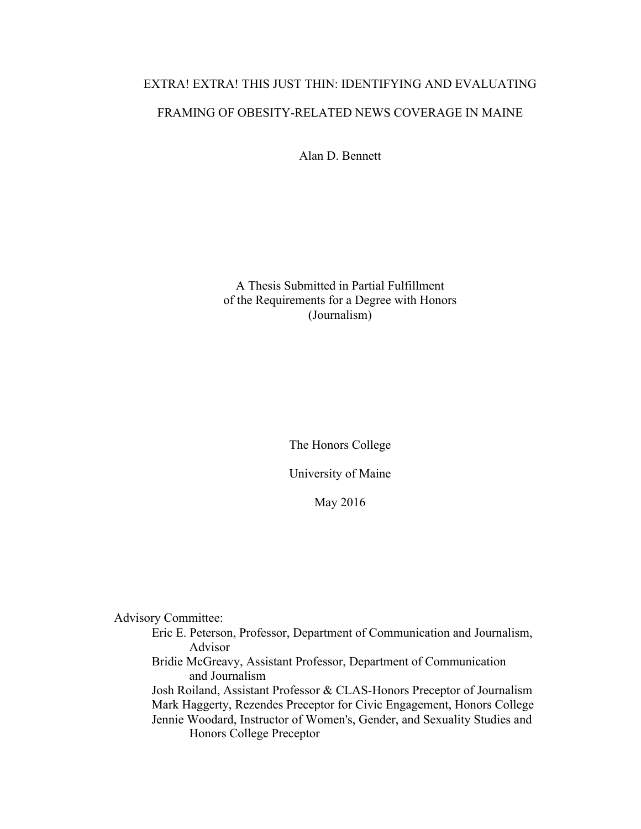# EXTRA! EXTRA! THIS JUST THIN: IDENTIFYING AND EVALUATING FRAMING OF OBESITY-RELATED NEWS COVERAGE IN MAINE

Alan D. Bennett

A Thesis Submitted in Partial Fulfillment of the Requirements for a Degree with Honors (Journalism)

The Honors College

University of Maine

May 2016

Advisory Committee:

Eric E. Peterson, Professor, Department of Communication and Journalism, Advisor

Bridie McGreavy, Assistant Professor, Department of Communication and Journalism

Josh Roiland, Assistant Professor & CLAS-Honors Preceptor of Journalism Mark Haggerty, Rezendes Preceptor for Civic Engagement, Honors College Jennie Woodard, Instructor of Women's, Gender, and Sexuality Studies and Honors College Preceptor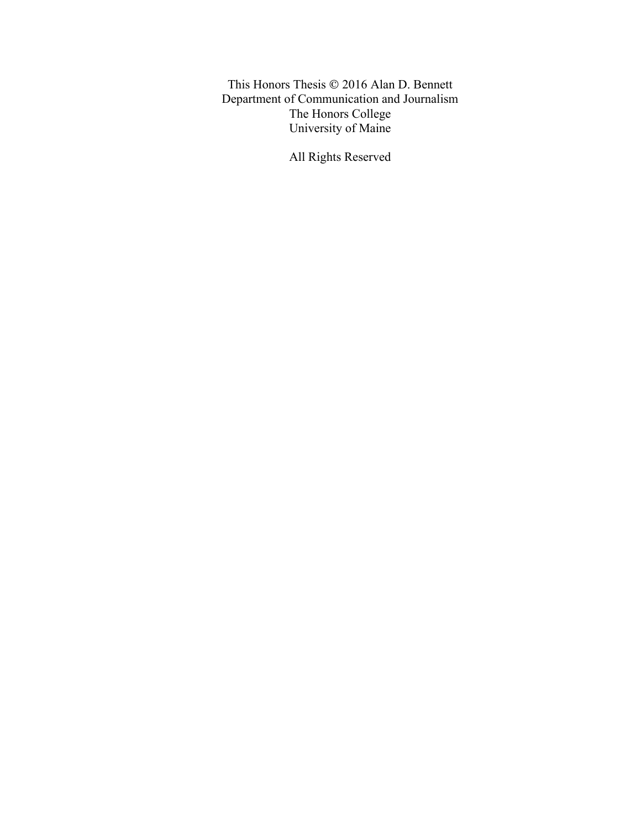This Honors Thesis © 2016 Alan D. Bennett Department of Communication and Journalism The Honors College University of Maine

All Rights Reserved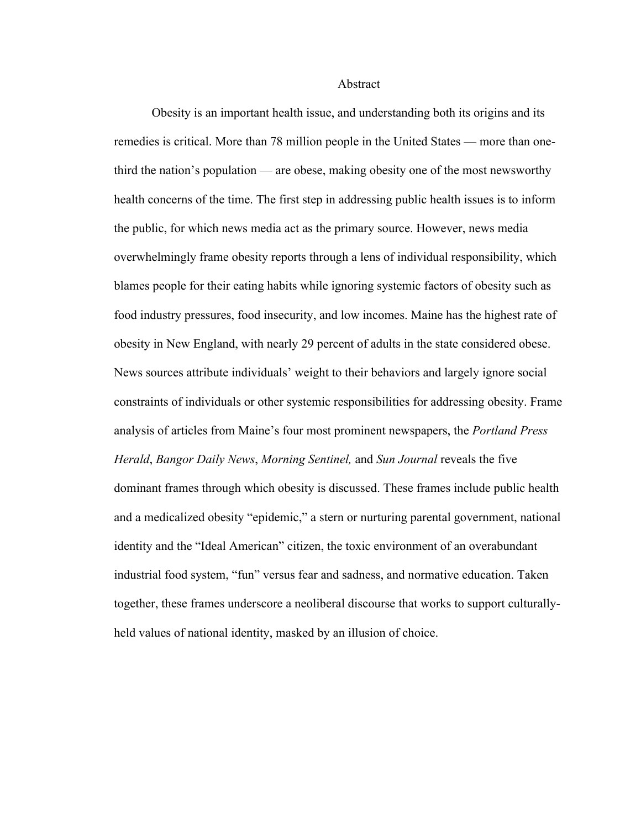Abstract

Obesity is an important health issue, and understanding both its origins and its remedies is critical. More than 78 million people in the United States — more than onethird the nation's population — are obese, making obesity one of the most newsworthy health concerns of the time. The first step in addressing public health issues is to inform the public, for which news media act as the primary source. However, news media overwhelmingly frame obesity reports through a lens of individual responsibility, which blames people for their eating habits while ignoring systemic factors of obesity such as food industry pressures, food insecurity, and low incomes. Maine has the highest rate of obesity in New England, with nearly 29 percent of adults in the state considered obese. News sources attribute individuals' weight to their behaviors and largely ignore social constraints of individuals or other systemic responsibilities for addressing obesity. Frame analysis of articles from Maine's four most prominent newspapers, the *Portland Press Herald*, *Bangor Daily News*, *Morning Sentinel,* and *Sun Journal* reveals the five dominant frames through which obesity is discussed. These frames include public health and a medicalized obesity "epidemic," a stern or nurturing parental government, national identity and the "Ideal American" citizen, the toxic environment of an overabundant industrial food system, "fun" versus fear and sadness, and normative education. Taken together, these frames underscore a neoliberal discourse that works to support culturallyheld values of national identity, masked by an illusion of choice.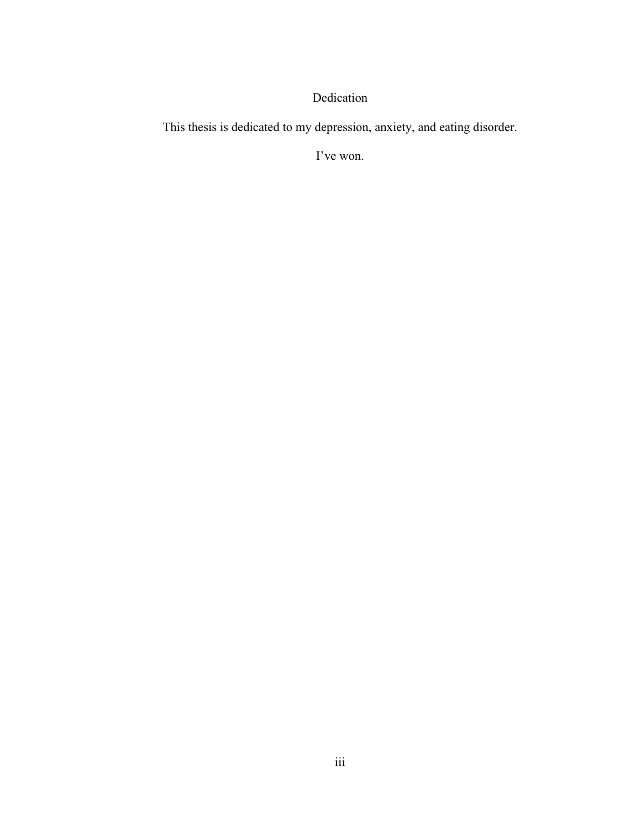# Dedication

This thesis is dedicated to my depression, anxiety, and eating disorder.

I've won.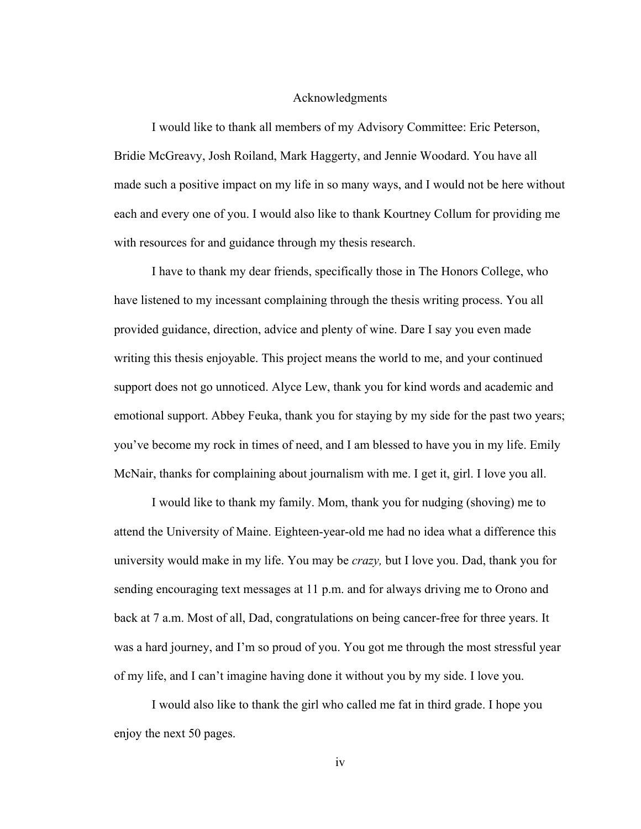## Acknowledgments

I would like to thank all members of my Advisory Committee: Eric Peterson, Bridie McGreavy, Josh Roiland, Mark Haggerty, and Jennie Woodard. You have all made such a positive impact on my life in so many ways, and I would not be here without each and every one of you. I would also like to thank Kourtney Collum for providing me with resources for and guidance through my thesis research.

I have to thank my dear friends, specifically those in The Honors College, who have listened to my incessant complaining through the thesis writing process. You all provided guidance, direction, advice and plenty of wine. Dare I say you even made writing this thesis enjoyable. This project means the world to me, and your continued support does not go unnoticed. Alyce Lew, thank you for kind words and academic and emotional support. Abbey Feuka, thank you for staying by my side for the past two years; you've become my rock in times of need, and I am blessed to have you in my life. Emily McNair, thanks for complaining about journalism with me. I get it, girl. I love you all.

I would like to thank my family. Mom, thank you for nudging (shoving) me to attend the University of Maine. Eighteen-year-old me had no idea what a difference this university would make in my life. You may be *crazy,* but I love you. Dad, thank you for sending encouraging text messages at 11 p.m. and for always driving me to Orono and back at 7 a.m. Most of all, Dad, congratulations on being cancer-free for three years. It was a hard journey, and I'm so proud of you. You got me through the most stressful year of my life, and I can't imagine having done it without you by my side. I love you.

I would also like to thank the girl who called me fat in third grade. I hope you enjoy the next 50 pages.

iv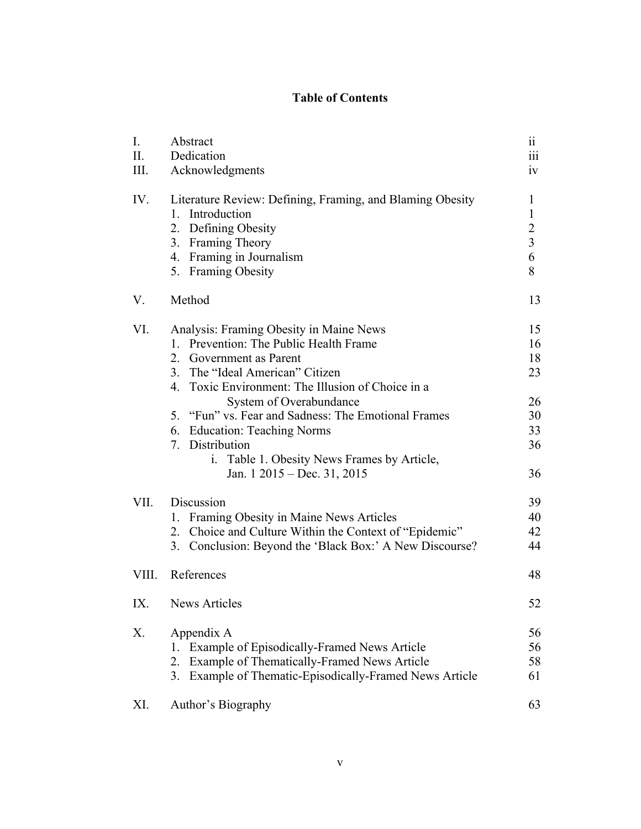# **Table of Contents**

| I.<br>П.      | Abstract<br>Dedication                                                                                                                                                                                                                                                                                                                                                                                                                    | . .<br>11<br>$\overline{\text{iii}}$                                       |
|---------------|-------------------------------------------------------------------------------------------------------------------------------------------------------------------------------------------------------------------------------------------------------------------------------------------------------------------------------------------------------------------------------------------------------------------------------------------|----------------------------------------------------------------------------|
| Ш.            | Acknowledgments                                                                                                                                                                                                                                                                                                                                                                                                                           | iv                                                                         |
| IV.           | Literature Review: Defining, Framing, and Blaming Obesity<br>1. Introduction<br>2. Defining Obesity<br>3. Framing Theory<br>4. Framing in Journalism<br>5. Framing Obesity                                                                                                                                                                                                                                                                | $\mathbf{1}$<br>$\mathbf{1}$<br>$\overline{c}$<br>$\overline{3}$<br>6<br>8 |
| V.            | Method                                                                                                                                                                                                                                                                                                                                                                                                                                    | 13                                                                         |
| VI.           | Analysis: Framing Obesity in Maine News<br>1. Prevention: The Public Health Frame<br>2. Government as Parent<br>3. The "Ideal American" Citizen<br>4. Toxic Environment: The Illusion of Choice in a<br>System of Overabundance<br>5. "Fun" vs. Fear and Sadness: The Emotional Frames<br>6. Education: Teaching Norms<br>7. Distribution<br>Table 1. Obesity News Frames by Article,<br>$\mathbf{i}$ .<br>Jan. $1\ 2015 - Dec. 31, 2015$ | 15<br>16<br>18<br>23<br>26<br>30<br>33<br>36<br>36                         |
| VII.<br>VIII. | Discussion<br>1. Framing Obesity in Maine News Articles<br>2. Choice and Culture Within the Context of "Epidemic"<br>3. Conclusion: Beyond the 'Black Box:' A New Discourse?<br>References                                                                                                                                                                                                                                                | 39<br>40<br>42<br>44<br>48                                                 |
| IX.           | News Articles                                                                                                                                                                                                                                                                                                                                                                                                                             | 52                                                                         |
| Χ.            | Appendix A<br>1. Example of Episodically-Framed News Article<br>2. Example of Thematically-Framed News Article<br>3. Example of Thematic-Episodically-Framed News Article                                                                                                                                                                                                                                                                 | 56<br>56<br>58<br>61                                                       |
| XI.           | Author's Biography                                                                                                                                                                                                                                                                                                                                                                                                                        | 63                                                                         |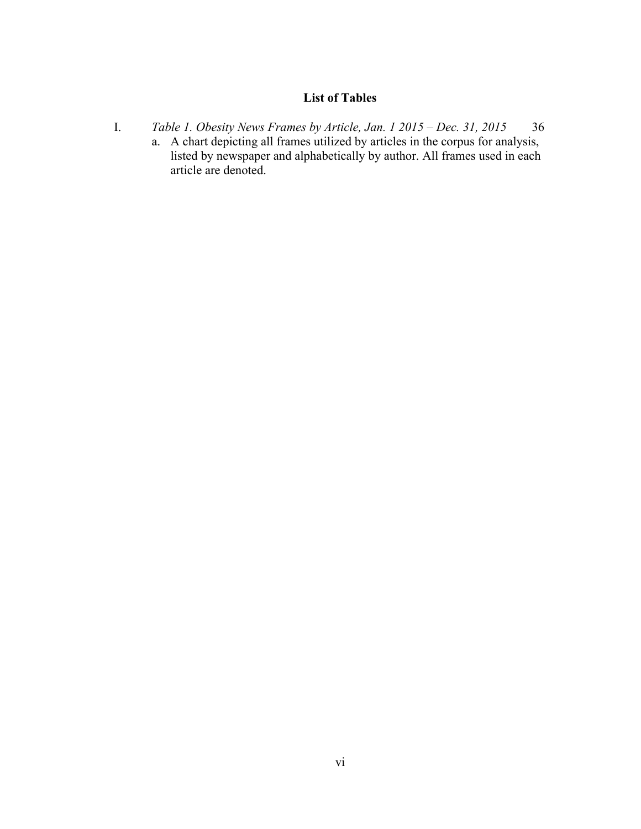# **List of Tables**

I. *Table 1. Obesity News Frames by Article, Jan. 1 2015 – Dec. 31, 2015* 36 a. A chart depicting all frames utilized by articles in the corpus for analysis, listed by newspaper and alphabetically by author. All frames used in each article are denoted.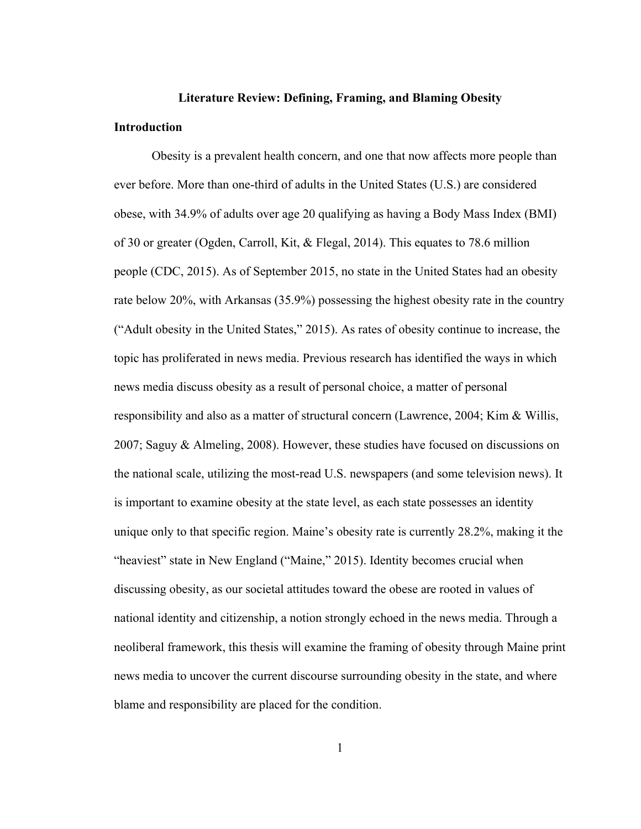## **Literature Review: Defining, Framing, and Blaming Obesity**

#### **Introduction**

Obesity is a prevalent health concern, and one that now affects more people than ever before. More than one-third of adults in the United States (U.S.) are considered obese, with 34.9% of adults over age 20 qualifying as having a Body Mass Index (BMI) of 30 or greater (Ogden, Carroll, Kit, & Flegal, 2014). This equates to 78.6 million people (CDC, 2015). As of September 2015, no state in the United States had an obesity rate below 20%, with Arkansas (35.9%) possessing the highest obesity rate in the country ("Adult obesity in the United States," 2015). As rates of obesity continue to increase, the topic has proliferated in news media. Previous research has identified the ways in which news media discuss obesity as a result of personal choice, a matter of personal responsibility and also as a matter of structural concern (Lawrence, 2004; Kim & Willis, 2007; Saguy & Almeling, 2008). However, these studies have focused on discussions on the national scale, utilizing the most-read U.S. newspapers (and some television news). It is important to examine obesity at the state level, as each state possesses an identity unique only to that specific region. Maine's obesity rate is currently 28.2%, making it the "heaviest" state in New England ("Maine," 2015). Identity becomes crucial when discussing obesity, as our societal attitudes toward the obese are rooted in values of national identity and citizenship, a notion strongly echoed in the news media. Through a neoliberal framework, this thesis will examine the framing of obesity through Maine print news media to uncover the current discourse surrounding obesity in the state, and where blame and responsibility are placed for the condition.

1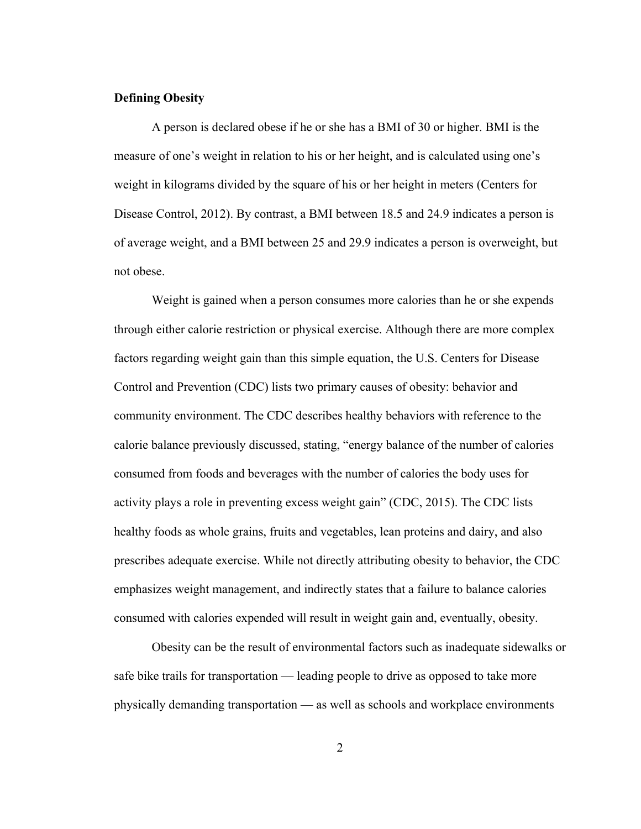# **Defining Obesity**

A person is declared obese if he or she has a BMI of 30 or higher. BMI is the measure of one's weight in relation to his or her height, and is calculated using one's weight in kilograms divided by the square of his or her height in meters (Centers for Disease Control, 2012). By contrast, a BMI between 18.5 and 24.9 indicates a person is of average weight, and a BMI between 25 and 29.9 indicates a person is overweight, but not obese.

Weight is gained when a person consumes more calories than he or she expends through either calorie restriction or physical exercise. Although there are more complex factors regarding weight gain than this simple equation, the U.S. Centers for Disease Control and Prevention (CDC) lists two primary causes of obesity: behavior and community environment. The CDC describes healthy behaviors with reference to the calorie balance previously discussed, stating, "energy balance of the number of calories consumed from foods and beverages with the number of calories the body uses for activity plays a role in preventing excess weight gain" (CDC, 2015). The CDC lists healthy foods as whole grains, fruits and vegetables, lean proteins and dairy, and also prescribes adequate exercise. While not directly attributing obesity to behavior, the CDC emphasizes weight management, and indirectly states that a failure to balance calories consumed with calories expended will result in weight gain and, eventually, obesity.

Obesity can be the result of environmental factors such as inadequate sidewalks or safe bike trails for transportation — leading people to drive as opposed to take more physically demanding transportation — as well as schools and workplace environments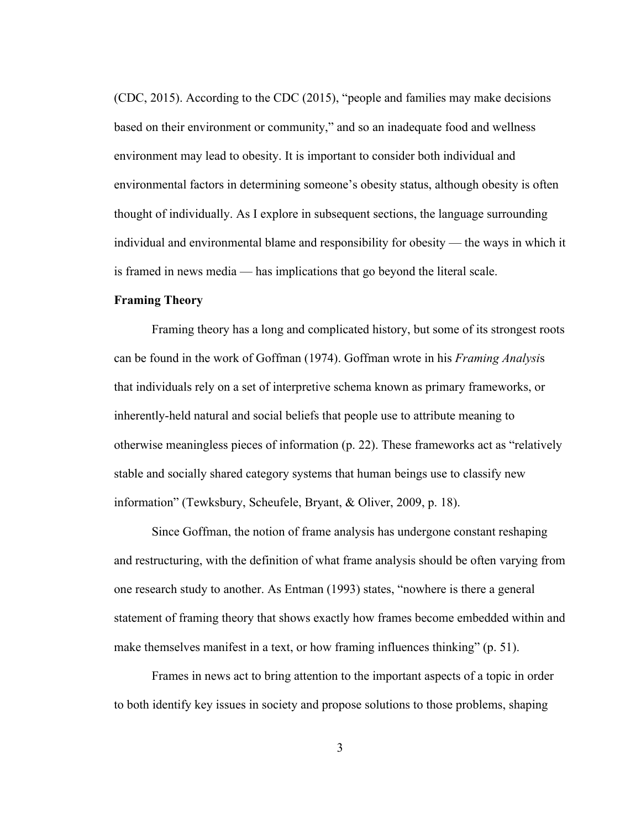(CDC, 2015). According to the CDC (2015), "people and families may make decisions based on their environment or community," and so an inadequate food and wellness environment may lead to obesity. It is important to consider both individual and environmental factors in determining someone's obesity status, although obesity is often thought of individually. As I explore in subsequent sections, the language surrounding individual and environmental blame and responsibility for obesity — the ways in which it is framed in news media — has implications that go beyond the literal scale.

# **Framing Theory**

Framing theory has a long and complicated history, but some of its strongest roots can be found in the work of Goffman (1974). Goffman wrote in his *Framing Analysi*s that individuals rely on a set of interpretive schema known as primary frameworks, or inherently-held natural and social beliefs that people use to attribute meaning to otherwise meaningless pieces of information (p. 22). These frameworks act as "relatively stable and socially shared category systems that human beings use to classify new information" (Tewksbury, Scheufele, Bryant, & Oliver, 2009, p. 18).

Since Goffman, the notion of frame analysis has undergone constant reshaping and restructuring, with the definition of what frame analysis should be often varying from one research study to another. As Entman (1993) states, "nowhere is there a general statement of framing theory that shows exactly how frames become embedded within and make themselves manifest in a text, or how framing influences thinking" (p. 51).

Frames in news act to bring attention to the important aspects of a topic in order to both identify key issues in society and propose solutions to those problems, shaping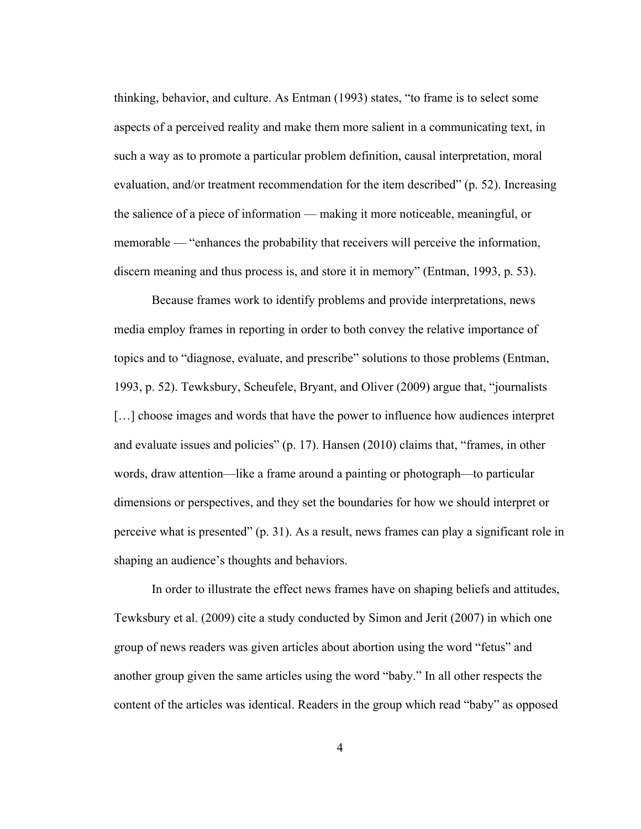thinking, behavior, and culture. As Entman (1993) states, "to frame is to select some aspects of a perceived reality and make them more salient in a communicating text, in such a way as to promote a particular problem definition, causal interpretation, moral evaluation, and/or treatment recommendation for the item described" (p. 52). Increasing the salience of a piece of information — making it more noticeable, meaningful, or memorable — "enhances the probability that receivers will perceive the information, discern meaning and thus process is, and store it in memory" (Entman, 1993, p. 53).

Because frames work to identify problems and provide interpretations, news media employ frames in reporting in order to both convey the relative importance of topics and to "diagnose, evaluate, and prescribe" solutions to those problems (Entman, 1993, p. 52). Tewksbury, Scheufele, Bryant, and Oliver (2009) argue that, "journalists […] choose images and words that have the power to influence how audiences interpret and evaluate issues and policies" (p. 17). Hansen (2010) claims that, "frames, in other words, draw attention—like a frame around a painting or photograph—to particular dimensions or perspectives, and they set the boundaries for how we should interpret or perceive what is presented" (p. 31). As a result, news frames can play a significant role in shaping an audience's thoughts and behaviors.

In order to illustrate the effect news frames have on shaping beliefs and attitudes, Tewksbury et al. (2009) cite a study conducted by Simon and Jerit (2007) in which one group of news readers was given articles about abortion using the word "fetus" and another group given the same articles using the word "baby." In all other respects the content of the articles was identical. Readers in the group which read "baby" as opposed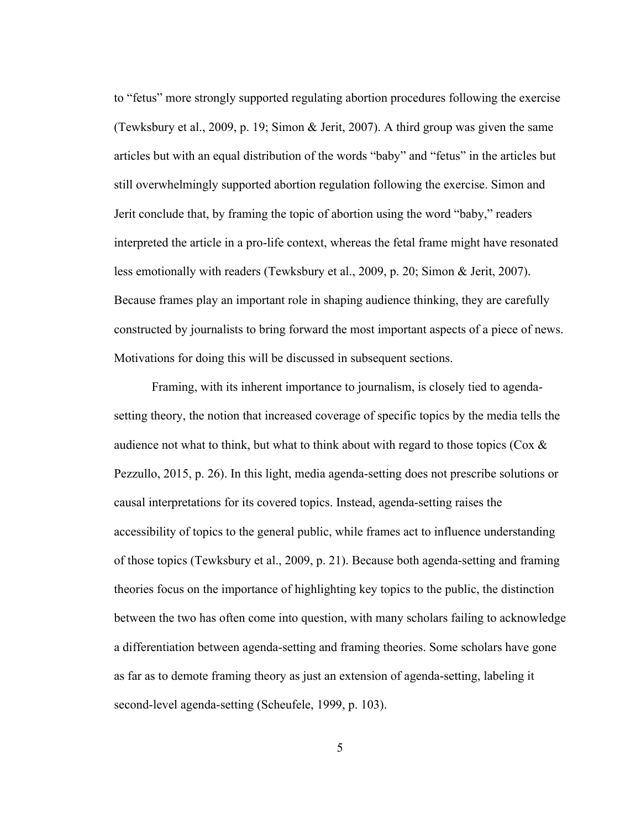to "fetus" more strongly supported regulating abortion procedures following the exercise (Tewksbury et al., 2009, p. 19; Simon & Jerit, 2007). A third group was given the same articles but with an equal distribution of the words "baby" and "fetus" in the articles but still overwhelmingly supported abortion regulation following the exercise. Simon and Jerit conclude that, by framing the topic of abortion using the word "baby," readers interpreted the article in a pro-life context, whereas the fetal frame might have resonated less emotionally with readers (Tewksbury et al., 2009, p. 20; Simon & Jerit, 2007). Because frames play an important role in shaping audience thinking, they are carefully constructed by journalists to bring forward the most important aspects of a piece of news. Motivations for doing this will be discussed in subsequent sections.

Framing, with its inherent importance to journalism, is closely tied to agendasetting theory, the notion that increased coverage of specific topics by the media tells the audience not what to think, but what to think about with regard to those topics ( $\cos \alpha$ ) Pezzullo, 2015, p. 26). In this light, media agenda-setting does not prescribe solutions or causal interpretations for its covered topics. Instead, agenda-setting raises the accessibility of topics to the general public, while frames act to influence understanding of those topics (Tewksbury et al., 2009, p. 21). Because both agenda-setting and framing theories focus on the importance of highlighting key topics to the public, the distinction between the two has often come into question, with many scholars failing to acknowledge a differentiation between agenda-setting and framing theories. Some scholars have gone as far as to demote framing theory as just an extension of agenda-setting, labeling it second-level agenda-setting (Scheufele, 1999, p. 103).

5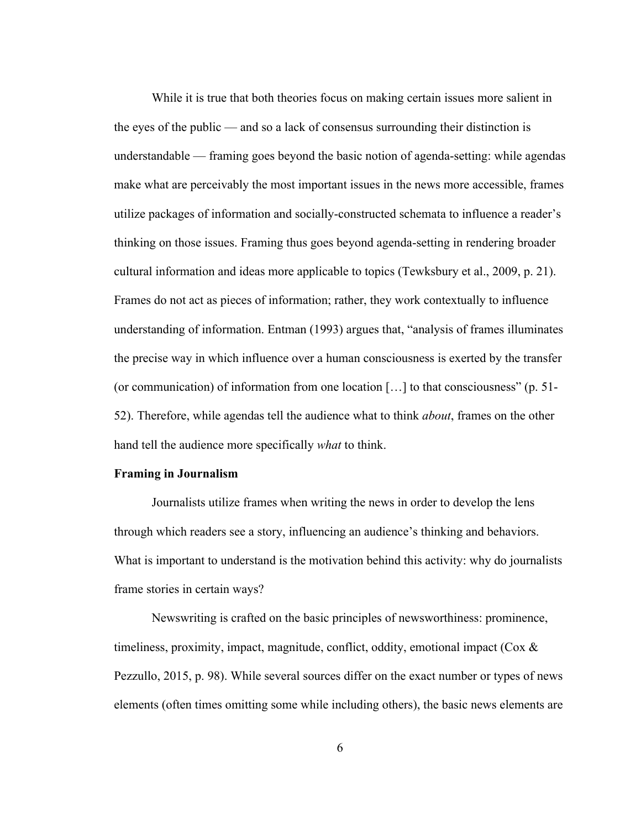While it is true that both theories focus on making certain issues more salient in the eyes of the public — and so a lack of consensus surrounding their distinction is understandable — framing goes beyond the basic notion of agenda-setting: while agendas make what are perceivably the most important issues in the news more accessible, frames utilize packages of information and socially-constructed schemata to influence a reader's thinking on those issues. Framing thus goes beyond agenda-setting in rendering broader cultural information and ideas more applicable to topics (Tewksbury et al., 2009, p. 21). Frames do not act as pieces of information; rather, they work contextually to influence understanding of information. Entman (1993) argues that, "analysis of frames illuminates the precise way in which influence over a human consciousness is exerted by the transfer (or communication) of information from one location […] to that consciousness" (p. 51- 52). Therefore, while agendas tell the audience what to think *about*, frames on the other hand tell the audience more specifically *what* to think.

# **Framing in Journalism**

Journalists utilize frames when writing the news in order to develop the lens through which readers see a story, influencing an audience's thinking and behaviors. What is important to understand is the motivation behind this activity: why do journalists frame stories in certain ways?

Newswriting is crafted on the basic principles of newsworthiness: prominence, timeliness, proximity, impact, magnitude, conflict, oddity, emotional impact ( $\cos \alpha$ ) Pezzullo, 2015, p. 98). While several sources differ on the exact number or types of news elements (often times omitting some while including others), the basic news elements are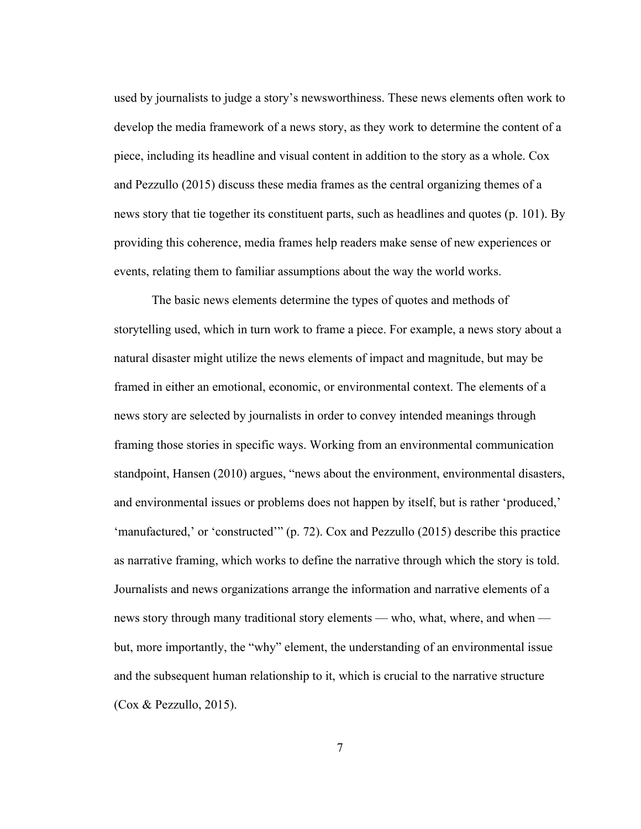used by journalists to judge a story's newsworthiness. These news elements often work to develop the media framework of a news story, as they work to determine the content of a piece, including its headline and visual content in addition to the story as a whole. Cox and Pezzullo (2015) discuss these media frames as the central organizing themes of a news story that tie together its constituent parts, such as headlines and quotes (p. 101). By providing this coherence, media frames help readers make sense of new experiences or events, relating them to familiar assumptions about the way the world works.

The basic news elements determine the types of quotes and methods of storytelling used, which in turn work to frame a piece. For example, a news story about a natural disaster might utilize the news elements of impact and magnitude, but may be framed in either an emotional, economic, or environmental context. The elements of a news story are selected by journalists in order to convey intended meanings through framing those stories in specific ways. Working from an environmental communication standpoint, Hansen (2010) argues, "news about the environment, environmental disasters, and environmental issues or problems does not happen by itself, but is rather 'produced,' 'manufactured,' or 'constructed'" (p. 72). Cox and Pezzullo (2015) describe this practice as narrative framing, which works to define the narrative through which the story is told. Journalists and news organizations arrange the information and narrative elements of a news story through many traditional story elements — who, what, where, and when but, more importantly, the "why" element, the understanding of an environmental issue and the subsequent human relationship to it, which is crucial to the narrative structure (Cox & Pezzullo, 2015).

7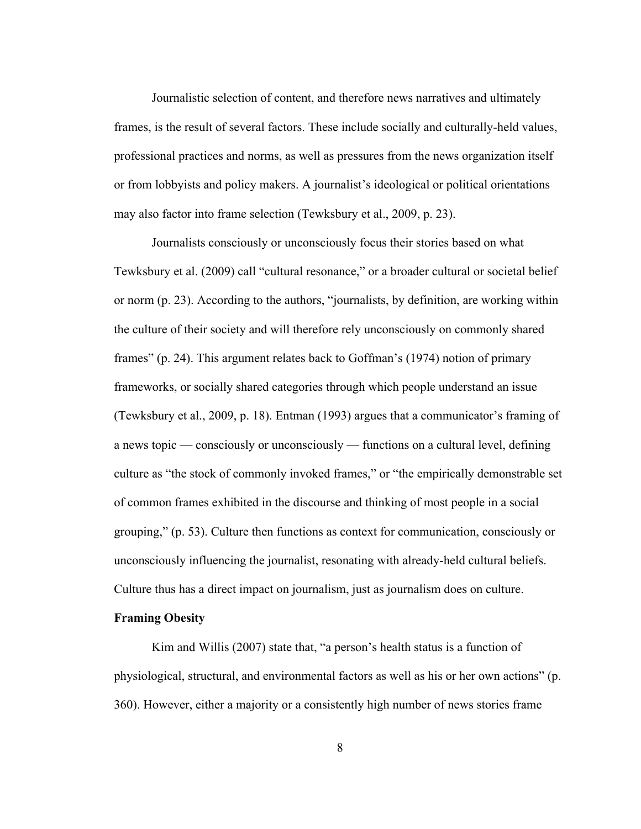Journalistic selection of content, and therefore news narratives and ultimately frames, is the result of several factors. These include socially and culturally-held values, professional practices and norms, as well as pressures from the news organization itself or from lobbyists and policy makers. A journalist's ideological or political orientations may also factor into frame selection (Tewksbury et al., 2009, p. 23).

Journalists consciously or unconsciously focus their stories based on what Tewksbury et al. (2009) call "cultural resonance," or a broader cultural or societal belief or norm (p. 23). According to the authors, "journalists, by definition, are working within the culture of their society and will therefore rely unconsciously on commonly shared frames" (p. 24). This argument relates back to Goffman's (1974) notion of primary frameworks, or socially shared categories through which people understand an issue (Tewksbury et al., 2009, p. 18). Entman (1993) argues that a communicator's framing of a news topic — consciously or unconsciously — functions on a cultural level, defining culture as "the stock of commonly invoked frames," or "the empirically demonstrable set of common frames exhibited in the discourse and thinking of most people in a social grouping," (p. 53). Culture then functions as context for communication, consciously or unconsciously influencing the journalist, resonating with already-held cultural beliefs. Culture thus has a direct impact on journalism, just as journalism does on culture.

# **Framing Obesity**

Kim and Willis (2007) state that, "a person's health status is a function of physiological, structural, and environmental factors as well as his or her own actions" (p. 360). However, either a majority or a consistently high number of news stories frame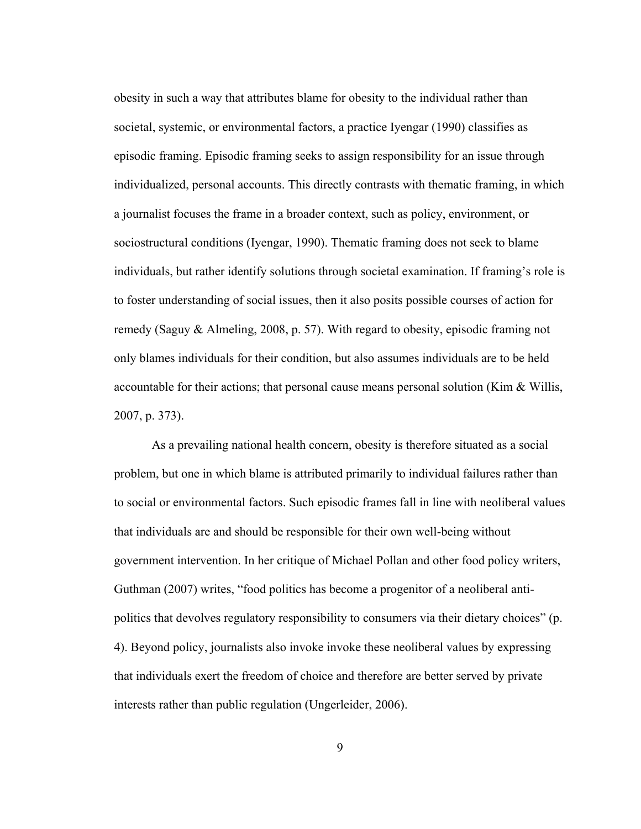obesity in such a way that attributes blame for obesity to the individual rather than societal, systemic, or environmental factors, a practice Iyengar (1990) classifies as episodic framing. Episodic framing seeks to assign responsibility for an issue through individualized, personal accounts. This directly contrasts with thematic framing, in which a journalist focuses the frame in a broader context, such as policy, environment, or sociostructural conditions (Iyengar, 1990). Thematic framing does not seek to blame individuals, but rather identify solutions through societal examination. If framing's role is to foster understanding of social issues, then it also posits possible courses of action for remedy (Saguy & Almeling, 2008, p. 57). With regard to obesity, episodic framing not only blames individuals for their condition, but also assumes individuals are to be held accountable for their actions; that personal cause means personal solution (Kim  $\&$  Willis, 2007, p. 373).

As a prevailing national health concern, obesity is therefore situated as a social problem, but one in which blame is attributed primarily to individual failures rather than to social or environmental factors. Such episodic frames fall in line with neoliberal values that individuals are and should be responsible for their own well-being without government intervention. In her critique of Michael Pollan and other food policy writers, Guthman (2007) writes, "food politics has become a progenitor of a neoliberal antipolitics that devolves regulatory responsibility to consumers via their dietary choices" (p. 4). Beyond policy, journalists also invoke invoke these neoliberal values by expressing that individuals exert the freedom of choice and therefore are better served by private interests rather than public regulation (Ungerleider, 2006).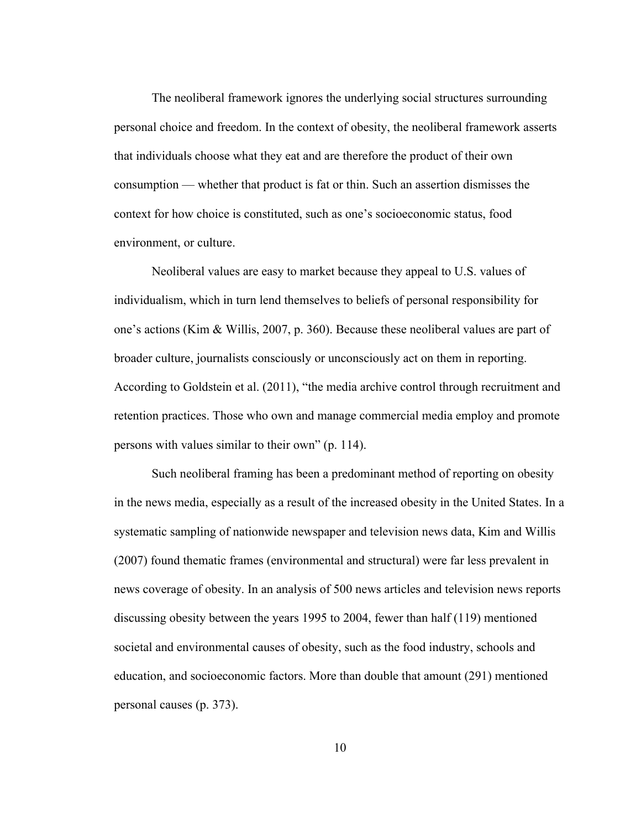The neoliberal framework ignores the underlying social structures surrounding personal choice and freedom. In the context of obesity, the neoliberal framework asserts that individuals choose what they eat and are therefore the product of their own consumption — whether that product is fat or thin. Such an assertion dismisses the context for how choice is constituted, such as one's socioeconomic status, food environment, or culture.

Neoliberal values are easy to market because they appeal to U.S. values of individualism, which in turn lend themselves to beliefs of personal responsibility for one's actions (Kim & Willis, 2007, p. 360). Because these neoliberal values are part of broader culture, journalists consciously or unconsciously act on them in reporting. According to Goldstein et al. (2011), "the media archive control through recruitment and retention practices. Those who own and manage commercial media employ and promote persons with values similar to their own" (p. 114).

Such neoliberal framing has been a predominant method of reporting on obesity in the news media, especially as a result of the increased obesity in the United States. In a systematic sampling of nationwide newspaper and television news data, Kim and Willis (2007) found thematic frames (environmental and structural) were far less prevalent in news coverage of obesity. In an analysis of 500 news articles and television news reports discussing obesity between the years 1995 to 2004, fewer than half (119) mentioned societal and environmental causes of obesity, such as the food industry, schools and education, and socioeconomic factors. More than double that amount (291) mentioned personal causes (p. 373).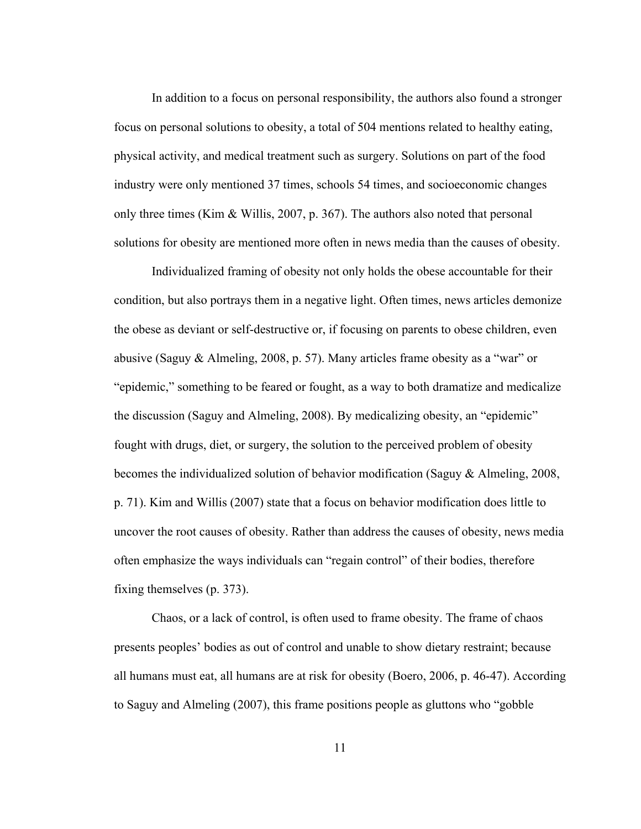In addition to a focus on personal responsibility, the authors also found a stronger focus on personal solutions to obesity, a total of 504 mentions related to healthy eating, physical activity, and medical treatment such as surgery. Solutions on part of the food industry were only mentioned 37 times, schools 54 times, and socioeconomic changes only three times (Kim & Willis, 2007, p. 367). The authors also noted that personal solutions for obesity are mentioned more often in news media than the causes of obesity.

Individualized framing of obesity not only holds the obese accountable for their condition, but also portrays them in a negative light. Often times, news articles demonize the obese as deviant or self-destructive or, if focusing on parents to obese children, even abusive (Saguy & Almeling, 2008, p. 57). Many articles frame obesity as a "war" or "epidemic," something to be feared or fought, as a way to both dramatize and medicalize the discussion (Saguy and Almeling, 2008). By medicalizing obesity, an "epidemic" fought with drugs, diet, or surgery, the solution to the perceived problem of obesity becomes the individualized solution of behavior modification (Saguy & Almeling, 2008, p. 71). Kim and Willis (2007) state that a focus on behavior modification does little to uncover the root causes of obesity. Rather than address the causes of obesity, news media often emphasize the ways individuals can "regain control" of their bodies, therefore fixing themselves (p. 373).

Chaos, or a lack of control, is often used to frame obesity. The frame of chaos presents peoples' bodies as out of control and unable to show dietary restraint; because all humans must eat, all humans are at risk for obesity (Boero, 2006, p. 46-47). According to Saguy and Almeling (2007), this frame positions people as gluttons who "gobble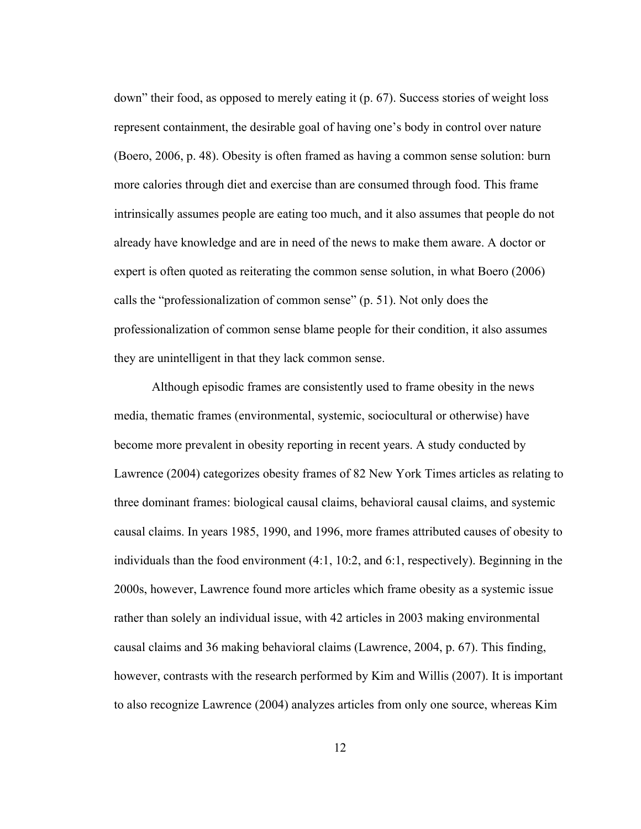down" their food, as opposed to merely eating it (p. 67). Success stories of weight loss represent containment, the desirable goal of having one's body in control over nature (Boero, 2006, p. 48). Obesity is often framed as having a common sense solution: burn more calories through diet and exercise than are consumed through food. This frame intrinsically assumes people are eating too much, and it also assumes that people do not already have knowledge and are in need of the news to make them aware. A doctor or expert is often quoted as reiterating the common sense solution, in what Boero (2006) calls the "professionalization of common sense" (p. 51). Not only does the professionalization of common sense blame people for their condition, it also assumes they are unintelligent in that they lack common sense.

Although episodic frames are consistently used to frame obesity in the news media, thematic frames (environmental, systemic, sociocultural or otherwise) have become more prevalent in obesity reporting in recent years. A study conducted by Lawrence (2004) categorizes obesity frames of 82 New York Times articles as relating to three dominant frames: biological causal claims, behavioral causal claims, and systemic causal claims. In years 1985, 1990, and 1996, more frames attributed causes of obesity to individuals than the food environment (4:1, 10:2, and 6:1, respectively). Beginning in the 2000s, however, Lawrence found more articles which frame obesity as a systemic issue rather than solely an individual issue, with 42 articles in 2003 making environmental causal claims and 36 making behavioral claims (Lawrence, 2004, p. 67). This finding, however, contrasts with the research performed by Kim and Willis (2007). It is important to also recognize Lawrence (2004) analyzes articles from only one source, whereas Kim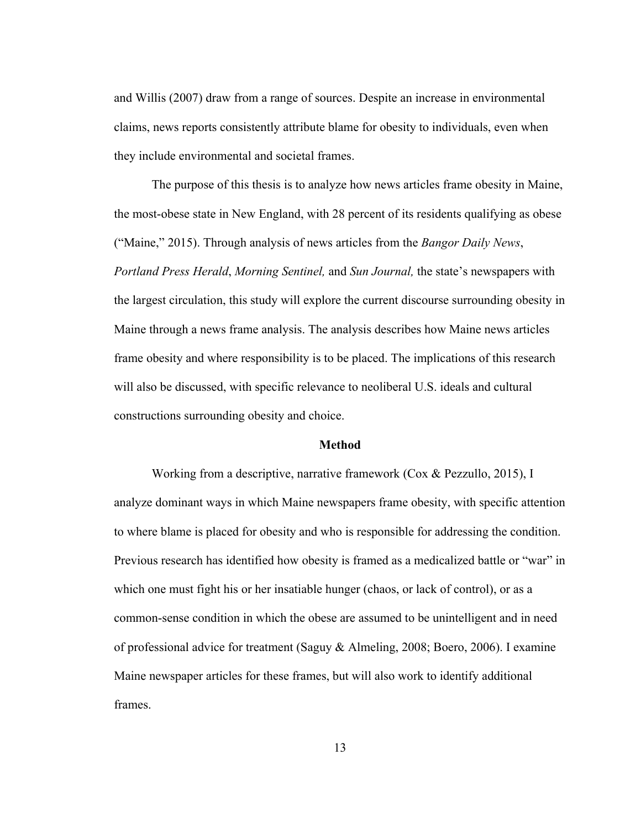and Willis (2007) draw from a range of sources. Despite an increase in environmental claims, news reports consistently attribute blame for obesity to individuals, even when they include environmental and societal frames.

The purpose of this thesis is to analyze how news articles frame obesity in Maine, the most-obese state in New England, with 28 percent of its residents qualifying as obese ("Maine," 2015). Through analysis of news articles from the *Bangor Daily News*, *Portland Press Herald*, *Morning Sentinel,* and *Sun Journal,* the state's newspapers with the largest circulation, this study will explore the current discourse surrounding obesity in Maine through a news frame analysis. The analysis describes how Maine news articles frame obesity and where responsibility is to be placed. The implications of this research will also be discussed, with specific relevance to neoliberal U.S. ideals and cultural constructions surrounding obesity and choice.

#### **Method**

Working from a descriptive, narrative framework (Cox & Pezzullo, 2015), I analyze dominant ways in which Maine newspapers frame obesity, with specific attention to where blame is placed for obesity and who is responsible for addressing the condition. Previous research has identified how obesity is framed as a medicalized battle or "war" in which one must fight his or her insatiable hunger (chaos, or lack of control), or as a common-sense condition in which the obese are assumed to be unintelligent and in need of professional advice for treatment (Saguy & Almeling, 2008; Boero, 2006). I examine Maine newspaper articles for these frames, but will also work to identify additional frames.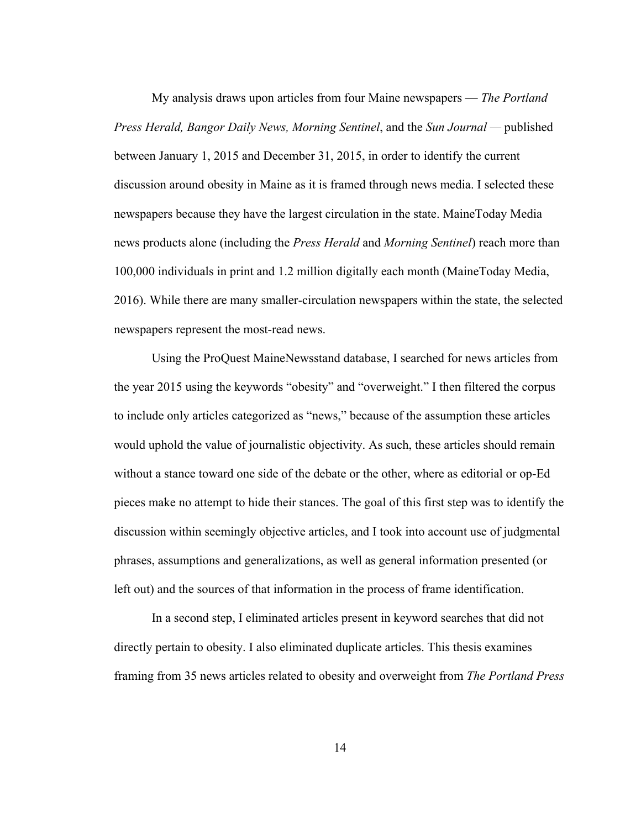My analysis draws upon articles from four Maine newspapers — *The Portland Press Herald, Bangor Daily News, Morning Sentinel*, and the *Sun Journal —* published between January 1, 2015 and December 31, 2015, in order to identify the current discussion around obesity in Maine as it is framed through news media. I selected these newspapers because they have the largest circulation in the state. MaineToday Media news products alone (including the *Press Herald* and *Morning Sentinel*) reach more than 100,000 individuals in print and 1.2 million digitally each month (MaineToday Media, 2016). While there are many smaller-circulation newspapers within the state, the selected newspapers represent the most-read news.

Using the ProQuest MaineNewsstand database, I searched for news articles from the year 2015 using the keywords "obesity" and "overweight." I then filtered the corpus to include only articles categorized as "news," because of the assumption these articles would uphold the value of journalistic objectivity. As such, these articles should remain without a stance toward one side of the debate or the other, where as editorial or op-Ed pieces make no attempt to hide their stances. The goal of this first step was to identify the discussion within seemingly objective articles, and I took into account use of judgmental phrases, assumptions and generalizations, as well as general information presented (or left out) and the sources of that information in the process of frame identification.

In a second step, I eliminated articles present in keyword searches that did not directly pertain to obesity. I also eliminated duplicate articles. This thesis examines framing from 35 news articles related to obesity and overweight from *The Portland Press*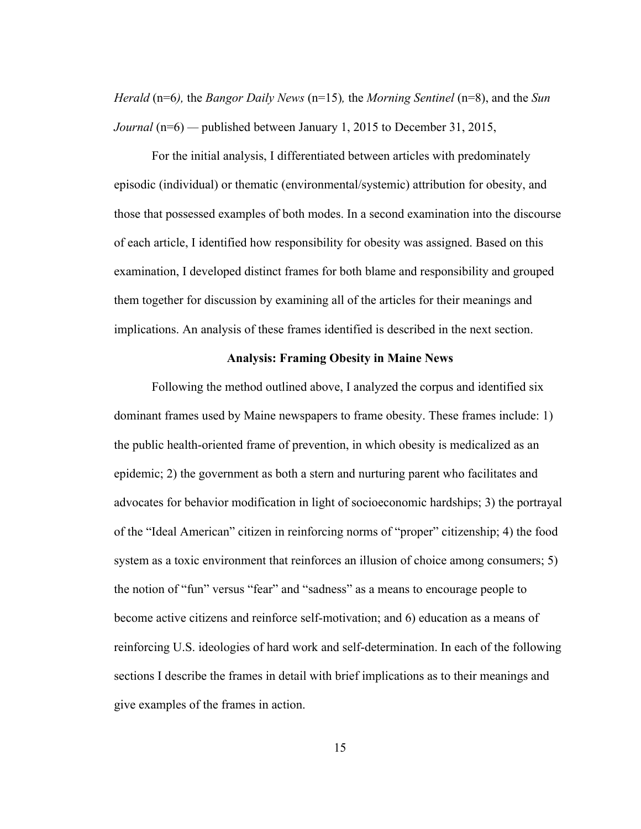*Herald* (n=6*),* the *Bangor Daily News* (n=15)*,* the *Morning Sentinel* (n=8), and the *Sun Journal* (n=6) — published between January 1, 2015 to December 31, 2015,

For the initial analysis, I differentiated between articles with predominately episodic (individual) or thematic (environmental/systemic) attribution for obesity, and those that possessed examples of both modes. In a second examination into the discourse of each article, I identified how responsibility for obesity was assigned. Based on this examination, I developed distinct frames for both blame and responsibility and grouped them together for discussion by examining all of the articles for their meanings and implications. An analysis of these frames identified is described in the next section.

#### **Analysis: Framing Obesity in Maine News**

Following the method outlined above, I analyzed the corpus and identified six dominant frames used by Maine newspapers to frame obesity. These frames include: 1) the public health-oriented frame of prevention, in which obesity is medicalized as an epidemic; 2) the government as both a stern and nurturing parent who facilitates and advocates for behavior modification in light of socioeconomic hardships; 3) the portrayal of the "Ideal American" citizen in reinforcing norms of "proper" citizenship; 4) the food system as a toxic environment that reinforces an illusion of choice among consumers; 5) the notion of "fun" versus "fear" and "sadness" as a means to encourage people to become active citizens and reinforce self-motivation; and 6) education as a means of reinforcing U.S. ideologies of hard work and self-determination. In each of the following sections I describe the frames in detail with brief implications as to their meanings and give examples of the frames in action.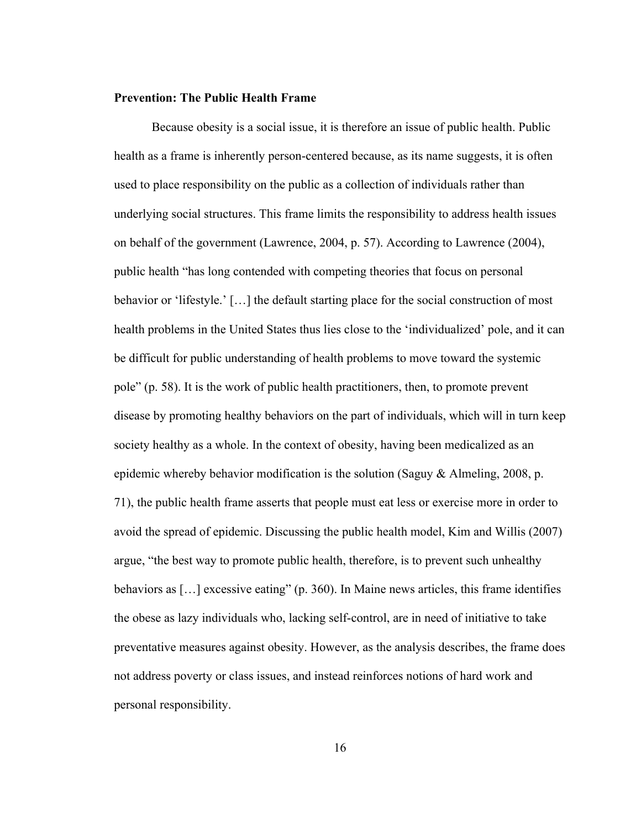# **Prevention: The Public Health Frame**

Because obesity is a social issue, it is therefore an issue of public health. Public health as a frame is inherently person-centered because, as its name suggests, it is often used to place responsibility on the public as a collection of individuals rather than underlying social structures. This frame limits the responsibility to address health issues on behalf of the government (Lawrence, 2004, p. 57). According to Lawrence (2004), public health "has long contended with competing theories that focus on personal behavior or 'lifestyle.' […] the default starting place for the social construction of most health problems in the United States thus lies close to the 'individualized' pole, and it can be difficult for public understanding of health problems to move toward the systemic pole" (p. 58). It is the work of public health practitioners, then, to promote prevent disease by promoting healthy behaviors on the part of individuals, which will in turn keep society healthy as a whole. In the context of obesity, having been medicalized as an epidemic whereby behavior modification is the solution (Saguy & Almeling, 2008, p. 71), the public health frame asserts that people must eat less or exercise more in order to avoid the spread of epidemic. Discussing the public health model, Kim and Willis (2007) argue, "the best way to promote public health, therefore, is to prevent such unhealthy behaviors as […] excessive eating" (p. 360). In Maine news articles, this frame identifies the obese as lazy individuals who, lacking self-control, are in need of initiative to take preventative measures against obesity. However, as the analysis describes, the frame does not address poverty or class issues, and instead reinforces notions of hard work and personal responsibility.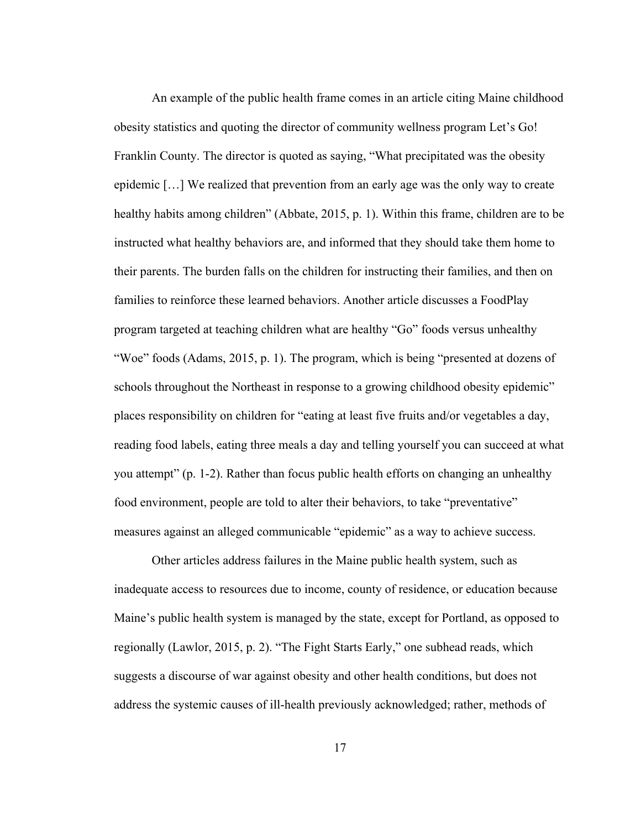An example of the public health frame comes in an article citing Maine childhood obesity statistics and quoting the director of community wellness program Let's Go! Franklin County. The director is quoted as saying, "What precipitated was the obesity epidemic […] We realized that prevention from an early age was the only way to create healthy habits among children" (Abbate, 2015, p. 1). Within this frame, children are to be instructed what healthy behaviors are, and informed that they should take them home to their parents. The burden falls on the children for instructing their families, and then on families to reinforce these learned behaviors. Another article discusses a FoodPlay program targeted at teaching children what are healthy "Go" foods versus unhealthy "Woe" foods (Adams, 2015, p. 1). The program, which is being "presented at dozens of schools throughout the Northeast in response to a growing childhood obesity epidemic" places responsibility on children for "eating at least five fruits and/or vegetables a day, reading food labels, eating three meals a day and telling yourself you can succeed at what you attempt" (p. 1-2). Rather than focus public health efforts on changing an unhealthy food environment, people are told to alter their behaviors, to take "preventative" measures against an alleged communicable "epidemic" as a way to achieve success.

Other articles address failures in the Maine public health system, such as inadequate access to resources due to income, county of residence, or education because Maine's public health system is managed by the state, except for Portland, as opposed to regionally (Lawlor, 2015, p. 2). "The Fight Starts Early," one subhead reads, which suggests a discourse of war against obesity and other health conditions, but does not address the systemic causes of ill-health previously acknowledged; rather, methods of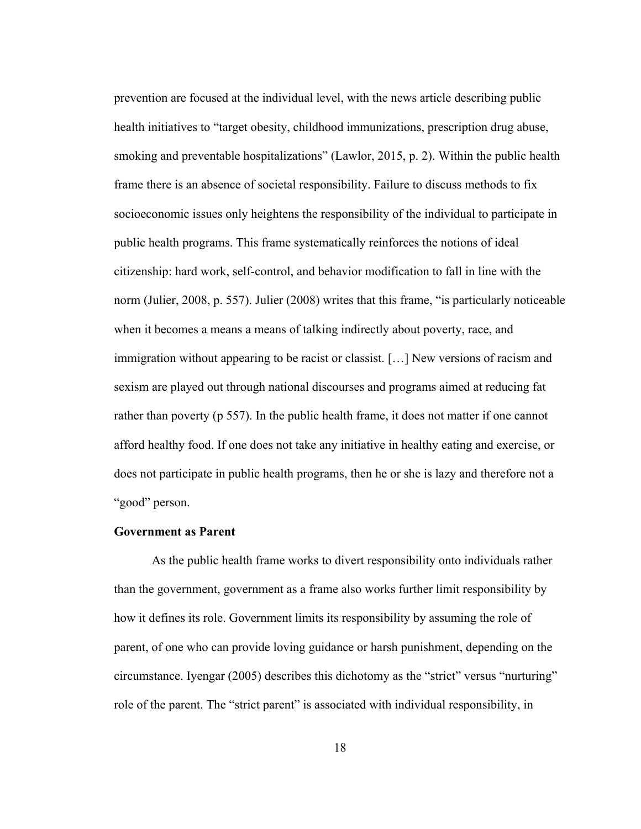prevention are focused at the individual level, with the news article describing public health initiatives to "target obesity, childhood immunizations, prescription drug abuse, smoking and preventable hospitalizations" (Lawlor, 2015, p. 2). Within the public health frame there is an absence of societal responsibility. Failure to discuss methods to fix socioeconomic issues only heightens the responsibility of the individual to participate in public health programs. This frame systematically reinforces the notions of ideal citizenship: hard work, self-control, and behavior modification to fall in line with the norm (Julier, 2008, p. 557). Julier (2008) writes that this frame, "is particularly noticeable when it becomes a means a means of talking indirectly about poverty, race, and immigration without appearing to be racist or classist. […] New versions of racism and sexism are played out through national discourses and programs aimed at reducing fat rather than poverty (p 557). In the public health frame, it does not matter if one cannot afford healthy food. If one does not take any initiative in healthy eating and exercise, or does not participate in public health programs, then he or she is lazy and therefore not a "good" person.

#### **Government as Parent**

As the public health frame works to divert responsibility onto individuals rather than the government, government as a frame also works further limit responsibility by how it defines its role. Government limits its responsibility by assuming the role of parent, of one who can provide loving guidance or harsh punishment, depending on the circumstance. Iyengar (2005) describes this dichotomy as the "strict" versus "nurturing" role of the parent. The "strict parent" is associated with individual responsibility, in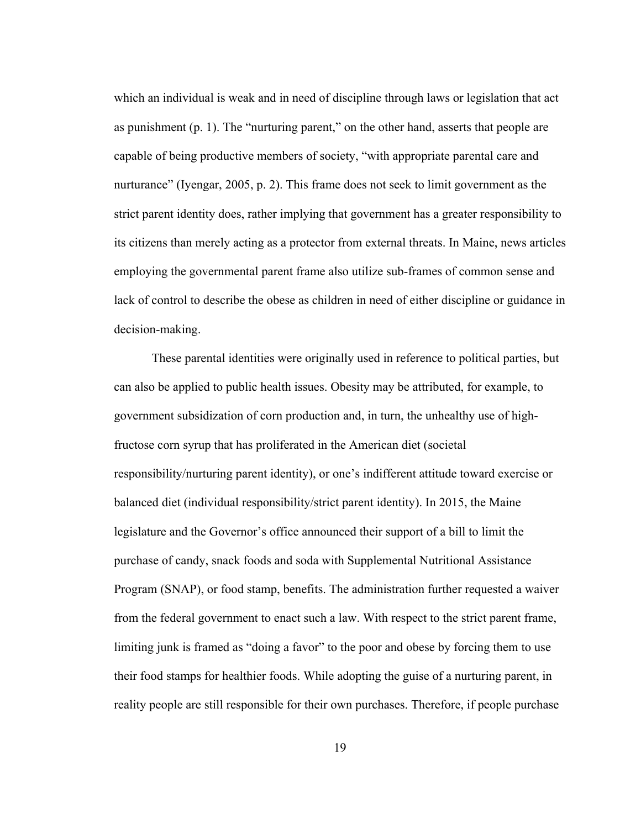which an individual is weak and in need of discipline through laws or legislation that act as punishment (p. 1). The "nurturing parent," on the other hand, asserts that people are capable of being productive members of society, "with appropriate parental care and nurturance" (Iyengar, 2005, p. 2). This frame does not seek to limit government as the strict parent identity does, rather implying that government has a greater responsibility to its citizens than merely acting as a protector from external threats. In Maine, news articles employing the governmental parent frame also utilize sub-frames of common sense and lack of control to describe the obese as children in need of either discipline or guidance in decision-making.

These parental identities were originally used in reference to political parties, but can also be applied to public health issues. Obesity may be attributed, for example, to government subsidization of corn production and, in turn, the unhealthy use of highfructose corn syrup that has proliferated in the American diet (societal responsibility/nurturing parent identity), or one's indifferent attitude toward exercise or balanced diet (individual responsibility/strict parent identity). In 2015, the Maine legislature and the Governor's office announced their support of a bill to limit the purchase of candy, snack foods and soda with Supplemental Nutritional Assistance Program (SNAP), or food stamp, benefits. The administration further requested a waiver from the federal government to enact such a law. With respect to the strict parent frame, limiting junk is framed as "doing a favor" to the poor and obese by forcing them to use their food stamps for healthier foods. While adopting the guise of a nurturing parent, in reality people are still responsible for their own purchases. Therefore, if people purchase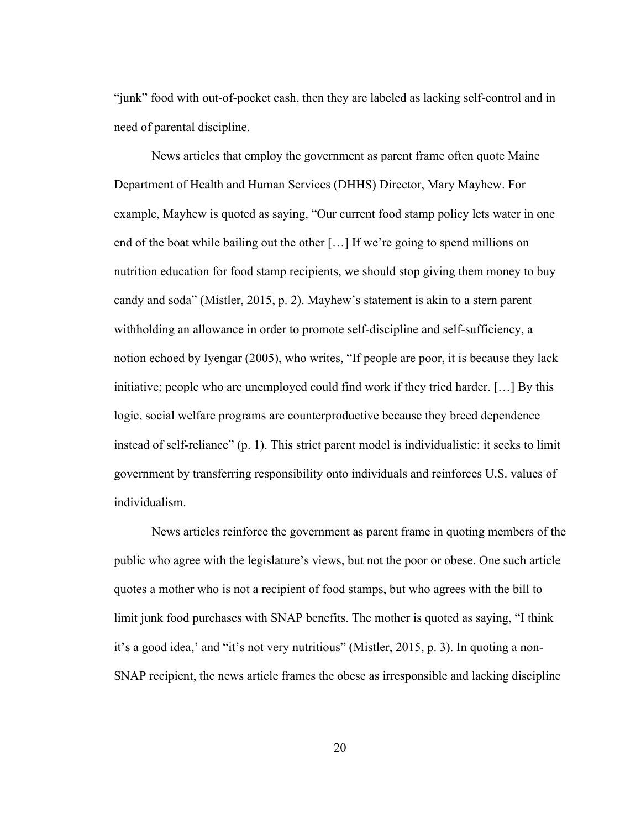"junk" food with out-of-pocket cash, then they are labeled as lacking self-control and in need of parental discipline.

News articles that employ the government as parent frame often quote Maine Department of Health and Human Services (DHHS) Director, Mary Mayhew. For example, Mayhew is quoted as saying, "Our current food stamp policy lets water in one end of the boat while bailing out the other […] If we're going to spend millions on nutrition education for food stamp recipients, we should stop giving them money to buy candy and soda" (Mistler, 2015, p. 2). Mayhew's statement is akin to a stern parent withholding an allowance in order to promote self-discipline and self-sufficiency, a notion echoed by Iyengar (2005), who writes, "If people are poor, it is because they lack initiative; people who are unemployed could find work if they tried harder. […] By this logic, social welfare programs are counterproductive because they breed dependence instead of self-reliance" (p. 1). This strict parent model is individualistic: it seeks to limit government by transferring responsibility onto individuals and reinforces U.S. values of individualism.

News articles reinforce the government as parent frame in quoting members of the public who agree with the legislature's views, but not the poor or obese. One such article quotes a mother who is not a recipient of food stamps, but who agrees with the bill to limit junk food purchases with SNAP benefits. The mother is quoted as saying, "I think it's a good idea,' and "it's not very nutritious" (Mistler, 2015, p. 3). In quoting a non-SNAP recipient, the news article frames the obese as irresponsible and lacking discipline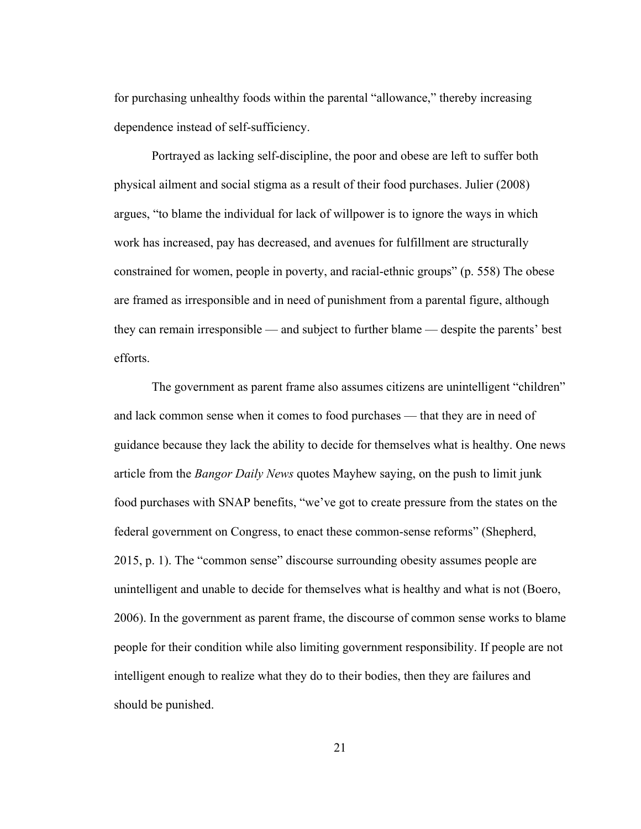for purchasing unhealthy foods within the parental "allowance," thereby increasing dependence instead of self-sufficiency.

Portrayed as lacking self-discipline, the poor and obese are left to suffer both physical ailment and social stigma as a result of their food purchases. Julier (2008) argues, "to blame the individual for lack of willpower is to ignore the ways in which work has increased, pay has decreased, and avenues for fulfillment are structurally constrained for women, people in poverty, and racial-ethnic groups" (p. 558) The obese are framed as irresponsible and in need of punishment from a parental figure, although they can remain irresponsible — and subject to further blame — despite the parents' best efforts.

The government as parent frame also assumes citizens are unintelligent "children" and lack common sense when it comes to food purchases — that they are in need of guidance because they lack the ability to decide for themselves what is healthy. One news article from the *Bangor Daily News* quotes Mayhew saying, on the push to limit junk food purchases with SNAP benefits, "we've got to create pressure from the states on the federal government on Congress, to enact these common-sense reforms" (Shepherd, 2015, p. 1). The "common sense" discourse surrounding obesity assumes people are unintelligent and unable to decide for themselves what is healthy and what is not (Boero, 2006). In the government as parent frame, the discourse of common sense works to blame people for their condition while also limiting government responsibility. If people are not intelligent enough to realize what they do to their bodies, then they are failures and should be punished.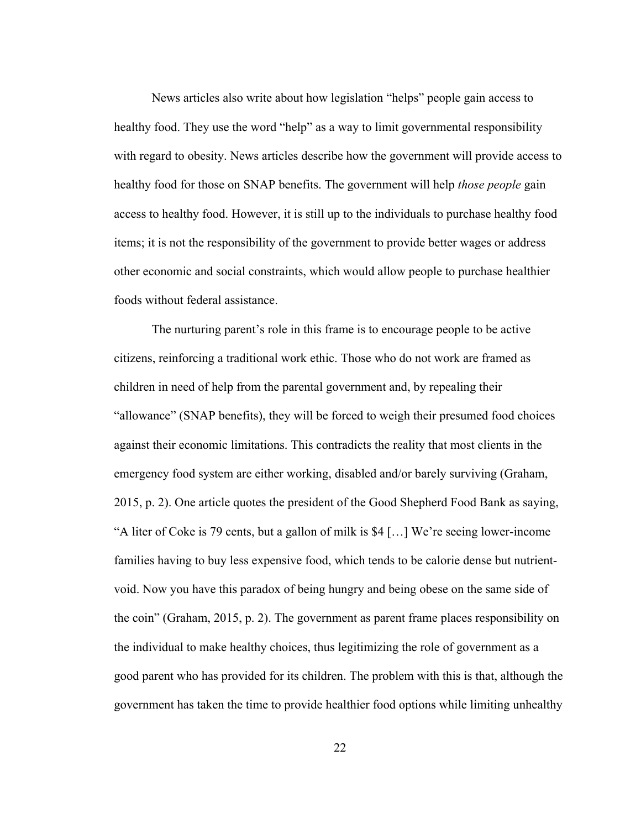News articles also write about how legislation "helps" people gain access to healthy food. They use the word "help" as a way to limit governmental responsibility with regard to obesity. News articles describe how the government will provide access to healthy food for those on SNAP benefits. The government will help *those people* gain access to healthy food. However, it is still up to the individuals to purchase healthy food items; it is not the responsibility of the government to provide better wages or address other economic and social constraints, which would allow people to purchase healthier foods without federal assistance.

The nurturing parent's role in this frame is to encourage people to be active citizens, reinforcing a traditional work ethic. Those who do not work are framed as children in need of help from the parental government and, by repealing their "allowance" (SNAP benefits), they will be forced to weigh their presumed food choices against their economic limitations. This contradicts the reality that most clients in the emergency food system are either working, disabled and/or barely surviving (Graham, 2015, p. 2). One article quotes the president of the Good Shepherd Food Bank as saying, "A liter of Coke is 79 cents, but a gallon of milk is \$4 […] We're seeing lower-income families having to buy less expensive food, which tends to be calorie dense but nutrientvoid. Now you have this paradox of being hungry and being obese on the same side of the coin" (Graham, 2015, p. 2). The government as parent frame places responsibility on the individual to make healthy choices, thus legitimizing the role of government as a good parent who has provided for its children. The problem with this is that, although the government has taken the time to provide healthier food options while limiting unhealthy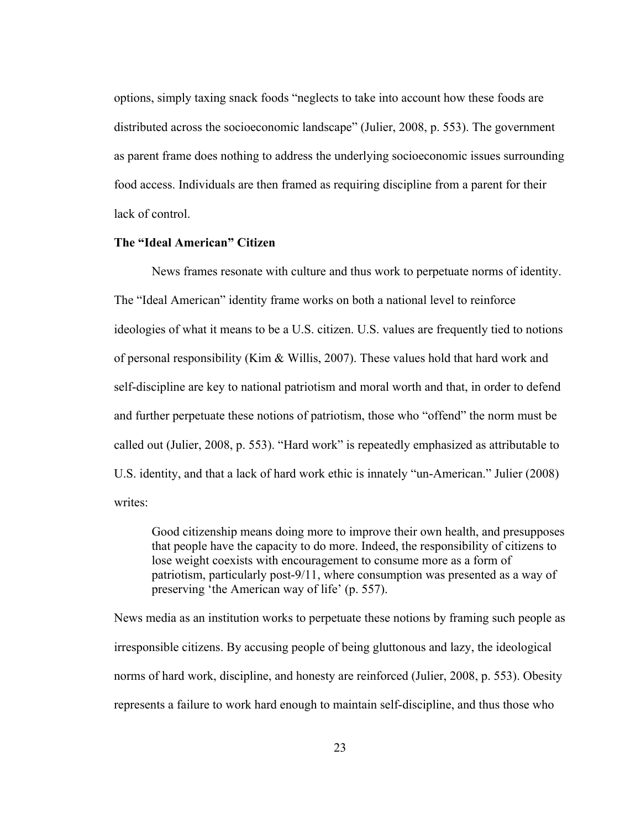options, simply taxing snack foods "neglects to take into account how these foods are distributed across the socioeconomic landscape" (Julier, 2008, p. 553). The government as parent frame does nothing to address the underlying socioeconomic issues surrounding food access. Individuals are then framed as requiring discipline from a parent for their lack of control

### **The "Ideal American" Citizen**

News frames resonate with culture and thus work to perpetuate norms of identity. The "Ideal American" identity frame works on both a national level to reinforce ideologies of what it means to be a U.S. citizen. U.S. values are frequently tied to notions of personal responsibility (Kim & Willis, 2007). These values hold that hard work and self-discipline are key to national patriotism and moral worth and that, in order to defend and further perpetuate these notions of patriotism, those who "offend" the norm must be called out (Julier, 2008, p. 553). "Hard work" is repeatedly emphasized as attributable to U.S. identity, and that a lack of hard work ethic is innately "un-American." Julier (2008) writes:

Good citizenship means doing more to improve their own health, and presupposes that people have the capacity to do more. Indeed, the responsibility of citizens to lose weight coexists with encouragement to consume more as a form of patriotism, particularly post-9/11, where consumption was presented as a way of preserving 'the American way of life' (p. 557).

News media as an institution works to perpetuate these notions by framing such people as irresponsible citizens. By accusing people of being gluttonous and lazy, the ideological norms of hard work, discipline, and honesty are reinforced (Julier, 2008, p. 553). Obesity represents a failure to work hard enough to maintain self-discipline, and thus those who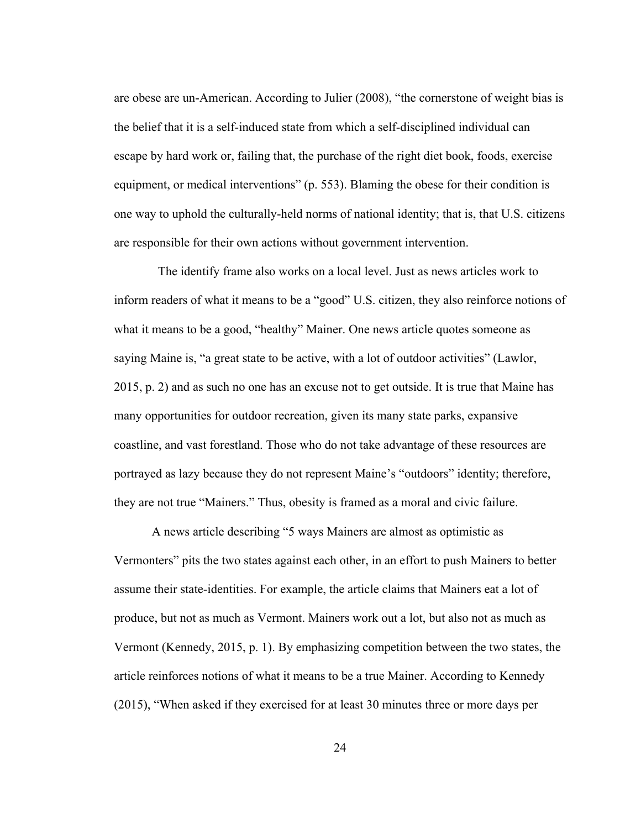are obese are un-American. According to Julier (2008), "the cornerstone of weight bias is the belief that it is a self-induced state from which a self-disciplined individual can escape by hard work or, failing that, the purchase of the right diet book, foods, exercise equipment, or medical interventions" (p. 553). Blaming the obese for their condition is one way to uphold the culturally-held norms of national identity; that is, that U.S. citizens are responsible for their own actions without government intervention.

 The identify frame also works on a local level. Just as news articles work to inform readers of what it means to be a "good" U.S. citizen, they also reinforce notions of what it means to be a good, "healthy" Mainer. One news article quotes someone as saying Maine is, "a great state to be active, with a lot of outdoor activities" (Lawlor, 2015, p. 2) and as such no one has an excuse not to get outside. It is true that Maine has many opportunities for outdoor recreation, given its many state parks, expansive coastline, and vast forestland. Those who do not take advantage of these resources are portrayed as lazy because they do not represent Maine's "outdoors" identity; therefore, they are not true "Mainers." Thus, obesity is framed as a moral and civic failure.

A news article describing "5 ways Mainers are almost as optimistic as Vermonters" pits the two states against each other, in an effort to push Mainers to better assume their state-identities. For example, the article claims that Mainers eat a lot of produce, but not as much as Vermont. Mainers work out a lot, but also not as much as Vermont (Kennedy, 2015, p. 1). By emphasizing competition between the two states, the article reinforces notions of what it means to be a true Mainer. According to Kennedy (2015), "When asked if they exercised for at least 30 minutes three or more days per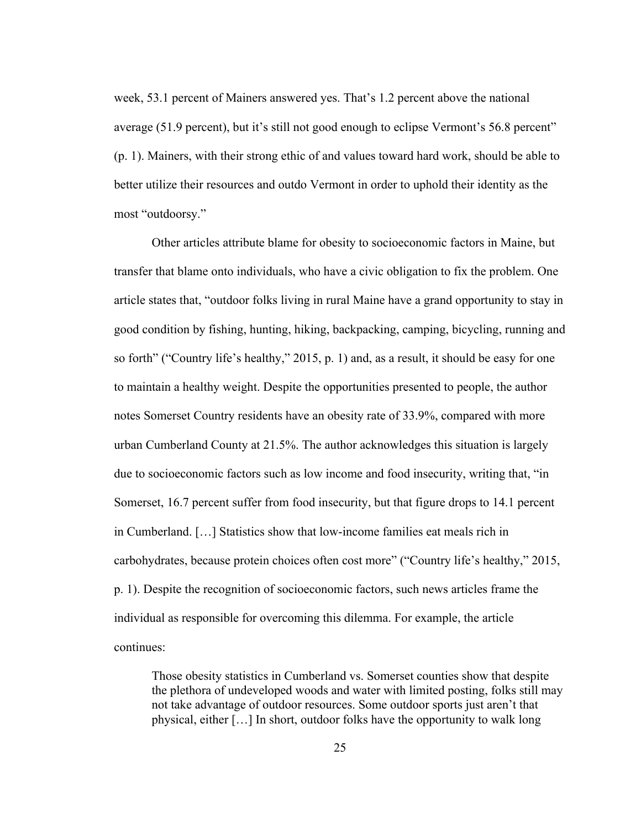week, 53.1 percent of Mainers answered yes. That's 1.2 percent above the national average (51.9 percent), but it's still not good enough to eclipse Vermont's 56.8 percent" (p. 1). Mainers, with their strong ethic of and values toward hard work, should be able to better utilize their resources and outdo Vermont in order to uphold their identity as the most "outdoorsy."

Other articles attribute blame for obesity to socioeconomic factors in Maine, but transfer that blame onto individuals, who have a civic obligation to fix the problem. One article states that, "outdoor folks living in rural Maine have a grand opportunity to stay in good condition by fishing, hunting, hiking, backpacking, camping, bicycling, running and so forth" ("Country life's healthy," 2015, p. 1) and, as a result, it should be easy for one to maintain a healthy weight. Despite the opportunities presented to people, the author notes Somerset Country residents have an obesity rate of 33.9%, compared with more urban Cumberland County at 21.5%. The author acknowledges this situation is largely due to socioeconomic factors such as low income and food insecurity, writing that, "in Somerset, 16.7 percent suffer from food insecurity, but that figure drops to 14.1 percent in Cumberland. […] Statistics show that low-income families eat meals rich in carbohydrates, because protein choices often cost more" ("Country life's healthy," 2015, p. 1). Despite the recognition of socioeconomic factors, such news articles frame the individual as responsible for overcoming this dilemma. For example, the article continues:

Those obesity statistics in Cumberland vs. Somerset counties show that despite the plethora of undeveloped woods and water with limited posting, folks still may not take advantage of outdoor resources. Some outdoor sports just aren't that physical, either […] In short, outdoor folks have the opportunity to walk long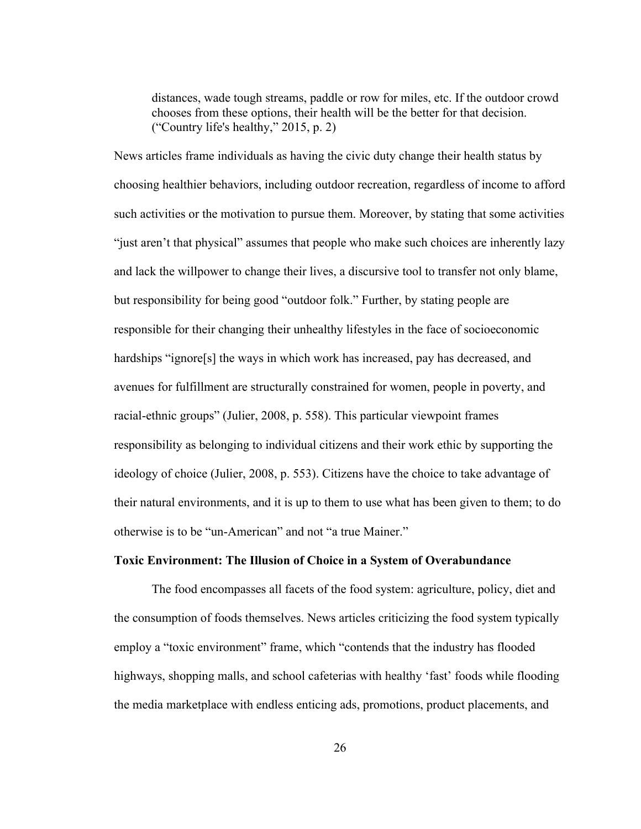distances, wade tough streams, paddle or row for miles, etc. If the outdoor crowd chooses from these options, their health will be the better for that decision. ("Country life's healthy," 2015, p. 2)

News articles frame individuals as having the civic duty change their health status by choosing healthier behaviors, including outdoor recreation, regardless of income to afford such activities or the motivation to pursue them. Moreover, by stating that some activities "just aren't that physical" assumes that people who make such choices are inherently lazy and lack the willpower to change their lives, a discursive tool to transfer not only blame, but responsibility for being good "outdoor folk." Further, by stating people are responsible for their changing their unhealthy lifestyles in the face of socioeconomic hardships "ignore[s] the ways in which work has increased, pay has decreased, and avenues for fulfillment are structurally constrained for women, people in poverty, and racial-ethnic groups" (Julier, 2008, p. 558). This particular viewpoint frames responsibility as belonging to individual citizens and their work ethic by supporting the ideology of choice (Julier, 2008, p. 553). Citizens have the choice to take advantage of their natural environments, and it is up to them to use what has been given to them; to do otherwise is to be "un-American" and not "a true Mainer."

# **Toxic Environment: The Illusion of Choice in a System of Overabundance**

The food encompasses all facets of the food system: agriculture, policy, diet and the consumption of foods themselves. News articles criticizing the food system typically employ a "toxic environment" frame, which "contends that the industry has flooded highways, shopping malls, and school cafeterias with healthy 'fast' foods while flooding the media marketplace with endless enticing ads, promotions, product placements, and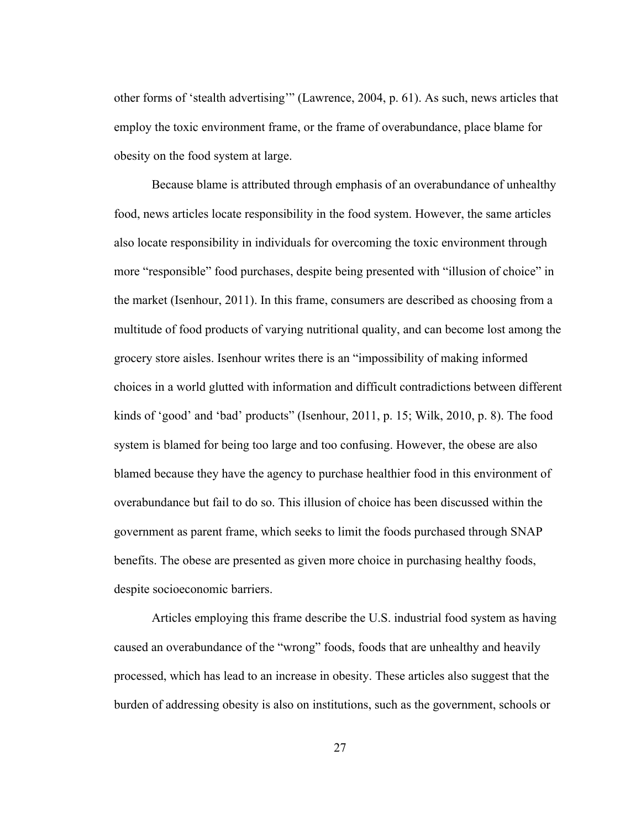other forms of 'stealth advertising'" (Lawrence, 2004, p. 61). As such, news articles that employ the toxic environment frame, or the frame of overabundance, place blame for obesity on the food system at large.

Because blame is attributed through emphasis of an overabundance of unhealthy food, news articles locate responsibility in the food system. However, the same articles also locate responsibility in individuals for overcoming the toxic environment through more "responsible" food purchases, despite being presented with "illusion of choice" in the market (Isenhour, 2011). In this frame, consumers are described as choosing from a multitude of food products of varying nutritional quality, and can become lost among the grocery store aisles. Isenhour writes there is an "impossibility of making informed choices in a world glutted with information and difficult contradictions between different kinds of 'good' and 'bad' products" (Isenhour, 2011, p. 15; Wilk, 2010, p. 8). The food system is blamed for being too large and too confusing. However, the obese are also blamed because they have the agency to purchase healthier food in this environment of overabundance but fail to do so. This illusion of choice has been discussed within the government as parent frame, which seeks to limit the foods purchased through SNAP benefits. The obese are presented as given more choice in purchasing healthy foods, despite socioeconomic barriers.

Articles employing this frame describe the U.S. industrial food system as having caused an overabundance of the "wrong" foods, foods that are unhealthy and heavily processed, which has lead to an increase in obesity. These articles also suggest that the burden of addressing obesity is also on institutions, such as the government, schools or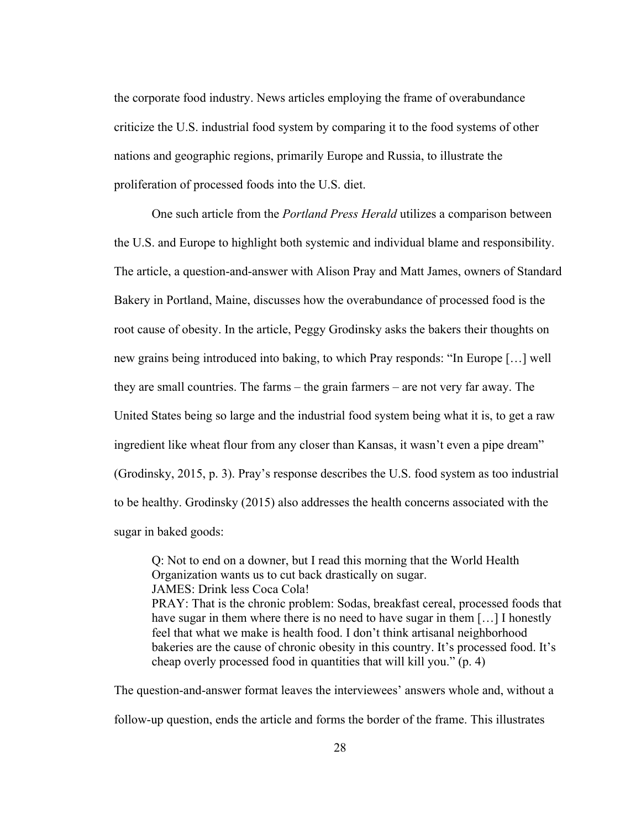the corporate food industry. News articles employing the frame of overabundance criticize the U.S. industrial food system by comparing it to the food systems of other nations and geographic regions, primarily Europe and Russia, to illustrate the proliferation of processed foods into the U.S. diet.

One such article from the *Portland Press Herald* utilizes a comparison between the U.S. and Europe to highlight both systemic and individual blame and responsibility. The article, a question-and-answer with Alison Pray and Matt James, owners of Standard Bakery in Portland, Maine, discusses how the overabundance of processed food is the root cause of obesity. In the article, Peggy Grodinsky asks the bakers their thoughts on new grains being introduced into baking, to which Pray responds: "In Europe […] well they are small countries. The farms – the grain farmers – are not very far away. The United States being so large and the industrial food system being what it is, to get a raw ingredient like wheat flour from any closer than Kansas, it wasn't even a pipe dream" (Grodinsky, 2015, p. 3). Pray's response describes the U.S. food system as too industrial to be healthy. Grodinsky (2015) also addresses the health concerns associated with the sugar in baked goods:

Q: Not to end on a downer, but I read this morning that the World Health Organization wants us to cut back drastically on sugar. JAMES: Drink less Coca Cola! PRAY: That is the chronic problem: Sodas, breakfast cereal, processed foods that have sugar in them where there is no need to have sugar in them [...] I honestly feel that what we make is health food. I don't think artisanal neighborhood bakeries are the cause of chronic obesity in this country. It's processed food. It's cheap overly processed food in quantities that will kill you." (p. 4)

The question-and-answer format leaves the interviewees' answers whole and, without a follow-up question, ends the article and forms the border of the frame. This illustrates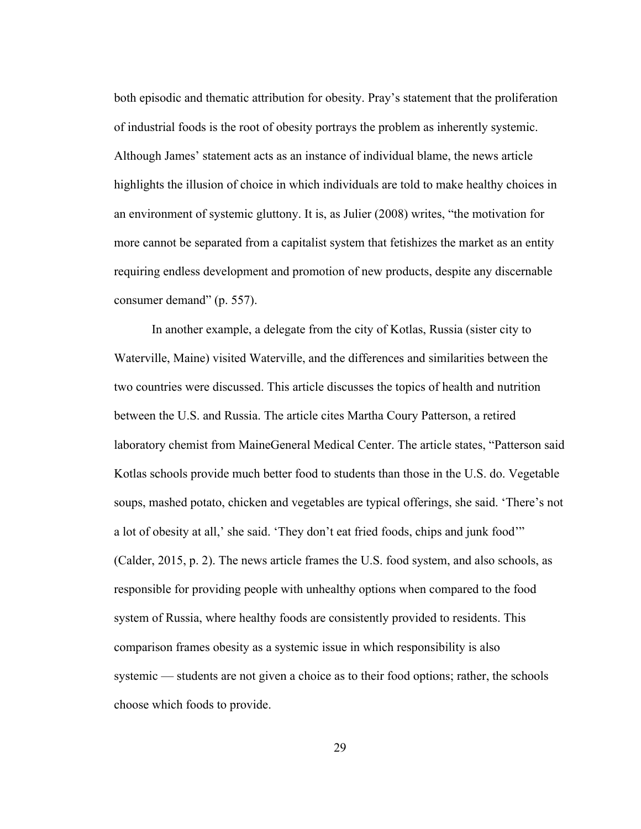both episodic and thematic attribution for obesity. Pray's statement that the proliferation of industrial foods is the root of obesity portrays the problem as inherently systemic. Although James' statement acts as an instance of individual blame, the news article highlights the illusion of choice in which individuals are told to make healthy choices in an environment of systemic gluttony. It is, as Julier (2008) writes, "the motivation for more cannot be separated from a capitalist system that fetishizes the market as an entity requiring endless development and promotion of new products, despite any discernable consumer demand" (p. 557).

In another example, a delegate from the city of Kotlas, Russia (sister city to Waterville, Maine) visited Waterville, and the differences and similarities between the two countries were discussed. This article discusses the topics of health and nutrition between the U.S. and Russia. The article cites Martha Coury Patterson, a retired laboratory chemist from MaineGeneral Medical Center. The article states, "Patterson said Kotlas schools provide much better food to students than those in the U.S. do. Vegetable soups, mashed potato, chicken and vegetables are typical offerings, she said. 'There's not a lot of obesity at all,' she said. 'They don't eat fried foods, chips and junk food'" (Calder, 2015, p. 2). The news article frames the U.S. food system, and also schools, as responsible for providing people with unhealthy options when compared to the food system of Russia, where healthy foods are consistently provided to residents. This comparison frames obesity as a systemic issue in which responsibility is also systemic — students are not given a choice as to their food options; rather, the schools choose which foods to provide.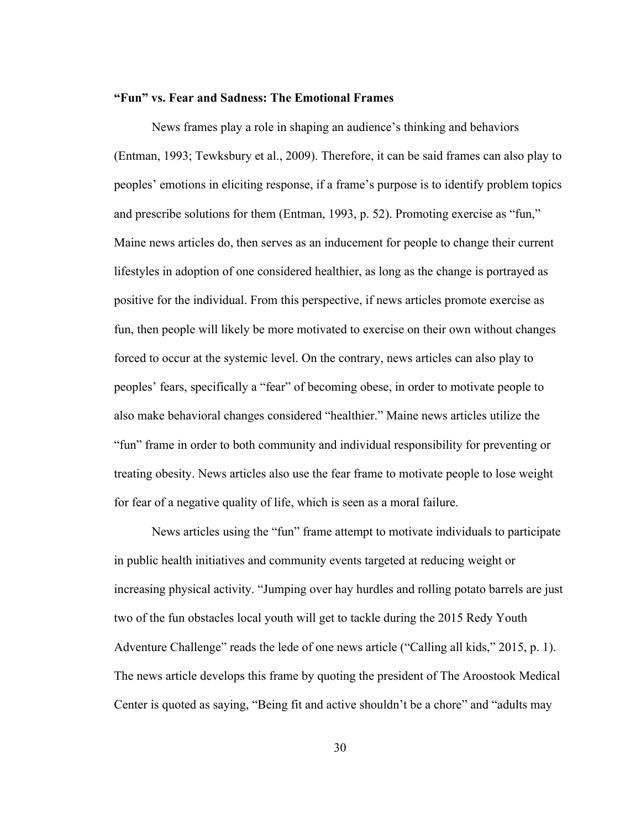# **"Fun" vs. Fear and Sadness: The Emotional Frames**

News frames play a role in shaping an audience's thinking and behaviors (Entman, 1993; Tewksbury et al., 2009). Therefore, it can be said frames can also play to peoples' emotions in eliciting response, if a frame's purpose is to identify problem topics and prescribe solutions for them (Entman, 1993, p. 52). Promoting exercise as "fun," Maine news articles do, then serves as an inducement for people to change their current lifestyles in adoption of one considered healthier, as long as the change is portrayed as positive for the individual. From this perspective, if news articles promote exercise as fun, then people will likely be more motivated to exercise on their own without changes forced to occur at the systemic level. On the contrary, news articles can also play to peoples' fears, specifically a "fear" of becoming obese, in order to motivate people to also make behavioral changes considered "healthier." Maine news articles utilize the "fun" frame in order to both community and individual responsibility for preventing or treating obesity. News articles also use the fear frame to motivate people to lose weight for fear of a negative quality of life, which is seen as a moral failure.

News articles using the "fun" frame attempt to motivate individuals to participate in public health initiatives and community events targeted at reducing weight or increasing physical activity. "Jumping over hay hurdles and rolling potato barrels are just two of the fun obstacles local youth will get to tackle during the 2015 Redy Youth Adventure Challenge" reads the lede of one news article ("Calling all kids," 2015, p. 1). The news article develops this frame by quoting the president of The Aroostook Medical Center is quoted as saying, "Being fit and active shouldn't be a chore" and "adults may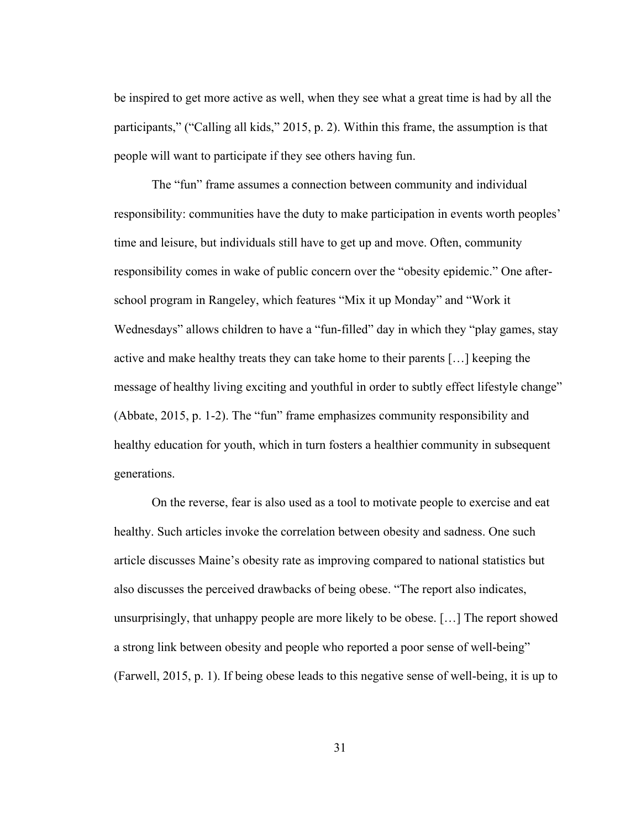be inspired to get more active as well, when they see what a great time is had by all the participants," ("Calling all kids," 2015, p. 2). Within this frame, the assumption is that people will want to participate if they see others having fun.

The "fun" frame assumes a connection between community and individual responsibility: communities have the duty to make participation in events worth peoples' time and leisure, but individuals still have to get up and move. Often, community responsibility comes in wake of public concern over the "obesity epidemic." One afterschool program in Rangeley, which features "Mix it up Monday" and "Work it Wednesdays" allows children to have a "fun-filled" day in which they "play games, stay active and make healthy treats they can take home to their parents […] keeping the message of healthy living exciting and youthful in order to subtly effect lifestyle change" (Abbate, 2015, p. 1-2). The "fun" frame emphasizes community responsibility and healthy education for youth, which in turn fosters a healthier community in subsequent generations.

On the reverse, fear is also used as a tool to motivate people to exercise and eat healthy. Such articles invoke the correlation between obesity and sadness. One such article discusses Maine's obesity rate as improving compared to national statistics but also discusses the perceived drawbacks of being obese. "The report also indicates, unsurprisingly, that unhappy people are more likely to be obese. […] The report showed a strong link between obesity and people who reported a poor sense of well-being" (Farwell, 2015, p. 1). If being obese leads to this negative sense of well-being, it is up to

31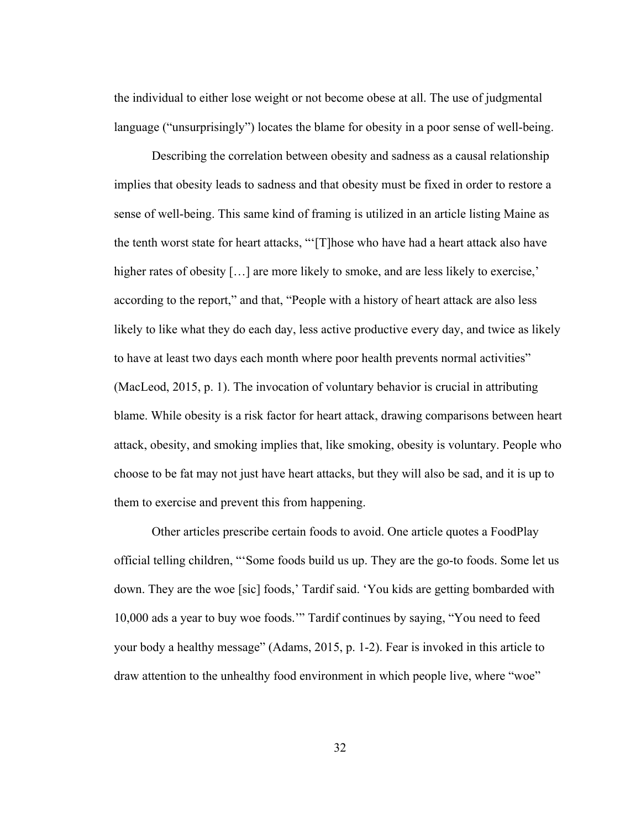the individual to either lose weight or not become obese at all. The use of judgmental language ("unsurprisingly") locates the blame for obesity in a poor sense of well-being.

Describing the correlation between obesity and sadness as a causal relationship implies that obesity leads to sadness and that obesity must be fixed in order to restore a sense of well-being. This same kind of framing is utilized in an article listing Maine as the tenth worst state for heart attacks, "'[T]hose who have had a heart attack also have higher rates of obesity [...] are more likely to smoke, and are less likely to exercise,' according to the report," and that, "People with a history of heart attack are also less likely to like what they do each day, less active productive every day, and twice as likely to have at least two days each month where poor health prevents normal activities" (MacLeod, 2015, p. 1). The invocation of voluntary behavior is crucial in attributing blame. While obesity is a risk factor for heart attack, drawing comparisons between heart attack, obesity, and smoking implies that, like smoking, obesity is voluntary. People who choose to be fat may not just have heart attacks, but they will also be sad, and it is up to them to exercise and prevent this from happening.

Other articles prescribe certain foods to avoid. One article quotes a FoodPlay official telling children, "'Some foods build us up. They are the go-to foods. Some let us down. They are the woe [sic] foods,' Tardif said. 'You kids are getting bombarded with 10,000 ads a year to buy woe foods.'" Tardif continues by saying, "You need to feed your body a healthy message" (Adams, 2015, p. 1-2). Fear is invoked in this article to draw attention to the unhealthy food environment in which people live, where "woe"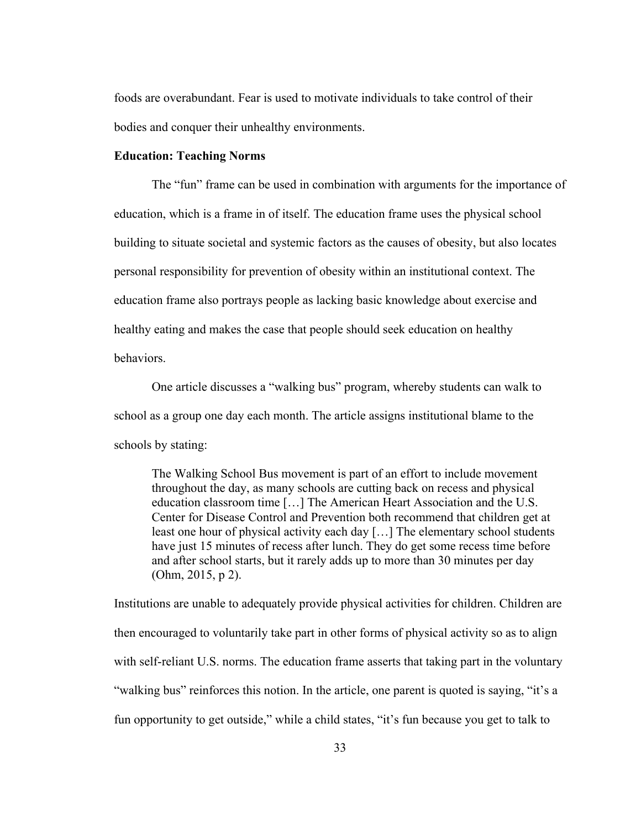foods are overabundant. Fear is used to motivate individuals to take control of their bodies and conquer their unhealthy environments.

### **Education: Teaching Norms**

The "fun" frame can be used in combination with arguments for the importance of education, which is a frame in of itself. The education frame uses the physical school building to situate societal and systemic factors as the causes of obesity, but also locates personal responsibility for prevention of obesity within an institutional context. The education frame also portrays people as lacking basic knowledge about exercise and healthy eating and makes the case that people should seek education on healthy behaviors.

One article discusses a "walking bus" program, whereby students can walk to school as a group one day each month. The article assigns institutional blame to the schools by stating:

The Walking School Bus movement is part of an effort to include movement throughout the day, as many schools are cutting back on recess and physical education classroom time […] The American Heart Association and the U.S. Center for Disease Control and Prevention both recommend that children get at least one hour of physical activity each day […] The elementary school students have just 15 minutes of recess after lunch. They do get some recess time before and after school starts, but it rarely adds up to more than 30 minutes per day (Ohm, 2015, p 2).

Institutions are unable to adequately provide physical activities for children. Children are then encouraged to voluntarily take part in other forms of physical activity so as to align with self-reliant U.S. norms. The education frame asserts that taking part in the voluntary "walking bus" reinforces this notion. In the article, one parent is quoted is saying, "it's a fun opportunity to get outside," while a child states, "it's fun because you get to talk to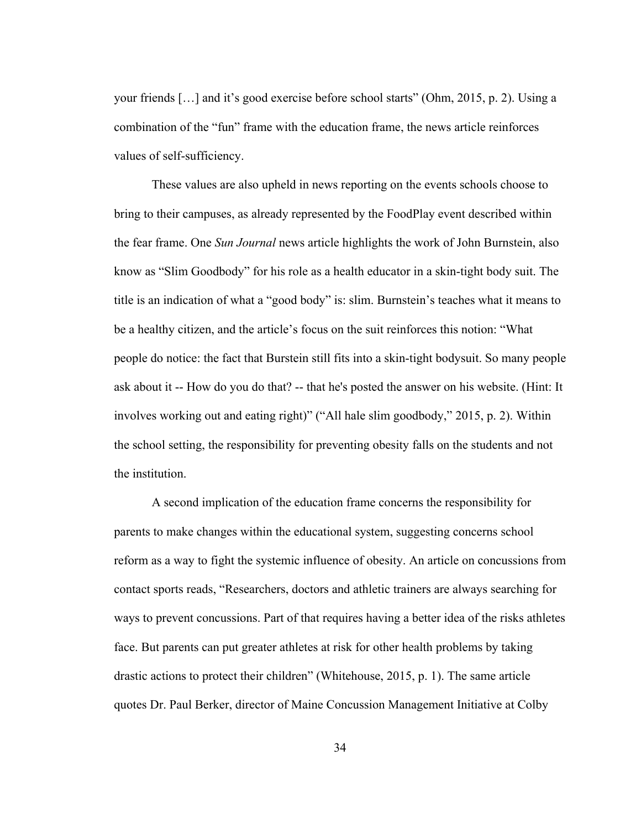your friends […] and it's good exercise before school starts" (Ohm, 2015, p. 2). Using a combination of the "fun" frame with the education frame, the news article reinforces values of self-sufficiency.

These values are also upheld in news reporting on the events schools choose to bring to their campuses, as already represented by the FoodPlay event described within the fear frame. One *Sun Journal* news article highlights the work of John Burnstein, also know as "Slim Goodbody" for his role as a health educator in a skin-tight body suit. The title is an indication of what a "good body" is: slim. Burnstein's teaches what it means to be a healthy citizen, and the article's focus on the suit reinforces this notion: "What people do notice: the fact that Burstein still fits into a skin-tight bodysuit. So many people ask about it -- How do you do that? -- that he's posted the answer on his website. (Hint: It involves working out and eating right)" ("All hale slim goodbody," 2015, p. 2). Within the school setting, the responsibility for preventing obesity falls on the students and not the institution.

A second implication of the education frame concerns the responsibility for parents to make changes within the educational system, suggesting concerns school reform as a way to fight the systemic influence of obesity. An article on concussions from contact sports reads, "Researchers, doctors and athletic trainers are always searching for ways to prevent concussions. Part of that requires having a better idea of the risks athletes face. But parents can put greater athletes at risk for other health problems by taking drastic actions to protect their children" (Whitehouse, 2015, p. 1). The same article quotes Dr. Paul Berker, director of Maine Concussion Management Initiative at Colby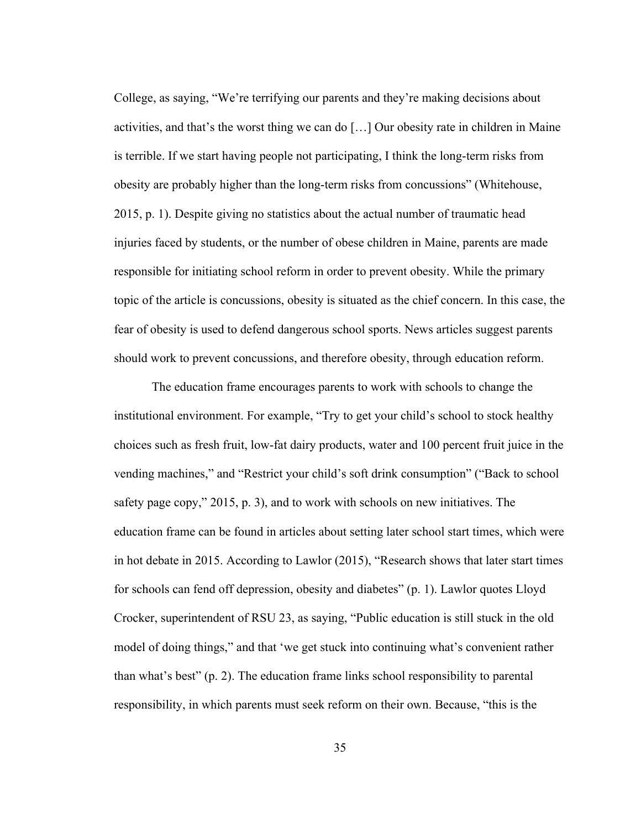College, as saying, "We're terrifying our parents and they're making decisions about activities, and that's the worst thing we can do […] Our obesity rate in children in Maine is terrible. If we start having people not participating, I think the long-term risks from obesity are probably higher than the long-term risks from concussions" (Whitehouse, 2015, p. 1). Despite giving no statistics about the actual number of traumatic head injuries faced by students, or the number of obese children in Maine, parents are made responsible for initiating school reform in order to prevent obesity. While the primary topic of the article is concussions, obesity is situated as the chief concern. In this case, the fear of obesity is used to defend dangerous school sports. News articles suggest parents should work to prevent concussions, and therefore obesity, through education reform.

The education frame encourages parents to work with schools to change the institutional environment. For example, "Try to get your child's school to stock healthy choices such as fresh fruit, low-fat dairy products, water and 100 percent fruit juice in the vending machines," and "Restrict your child's soft drink consumption" ("Back to school safety page copy," 2015, p. 3), and to work with schools on new initiatives. The education frame can be found in articles about setting later school start times, which were in hot debate in 2015. According to Lawlor (2015), "Research shows that later start times for schools can fend off depression, obesity and diabetes" (p. 1). Lawlor quotes Lloyd Crocker, superintendent of RSU 23, as saying, "Public education is still stuck in the old model of doing things," and that 'we get stuck into continuing what's convenient rather than what's best" (p. 2). The education frame links school responsibility to parental responsibility, in which parents must seek reform on their own. Because, "this is the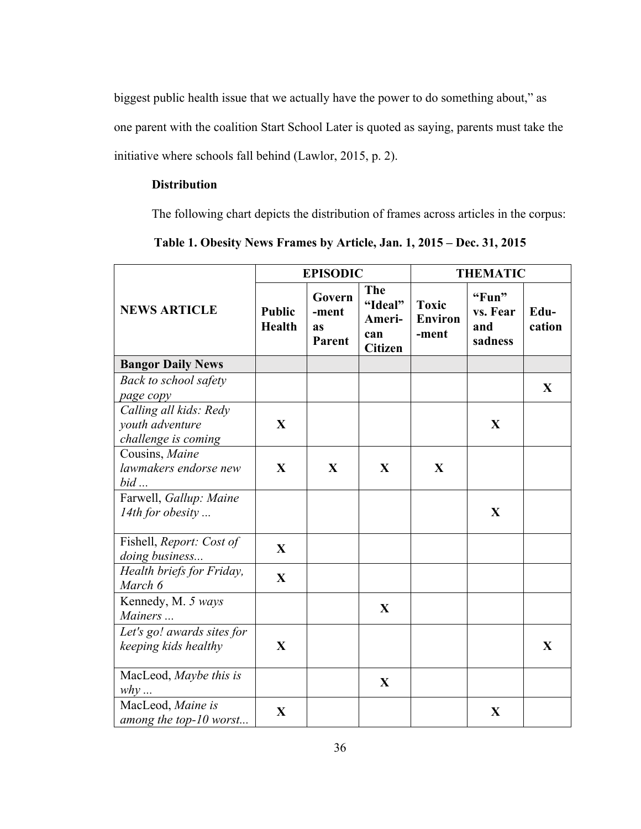biggest public health issue that we actually have the power to do something about," as one parent with the coalition Start School Later is quoted as saying, parents must take the initiative where schools fall behind (Lawlor, 2015, p. 2).

# **Distribution**

The following chart depicts the distribution of frames across articles in the corpus:

|  | Table 1. Obesity News Frames by Article, Jan. 1, 2015 – Dec. 31, 2015 |  |  |  |
|--|-----------------------------------------------------------------------|--|--|--|
|  |                                                                       |  |  |  |

|                                                                  | <b>EPISODIC</b>                |                                        |                                                   | <b>THEMATIC</b>                         |                                     |                |  |
|------------------------------------------------------------------|--------------------------------|----------------------------------------|---------------------------------------------------|-----------------------------------------|-------------------------------------|----------------|--|
| <b>NEWS ARTICLE</b>                                              | <b>Public</b><br><b>Health</b> | Govern<br>-ment<br><b>as</b><br>Parent | The<br>"Ideal"<br>Ameri-<br>can<br><b>Citizen</b> | <b>Toxic</b><br><b>Environ</b><br>-ment | "Fun"<br>vs. Fear<br>and<br>sadness | Edu-<br>cation |  |
| <b>Bangor Daily News</b>                                         |                                |                                        |                                                   |                                         |                                     |                |  |
| Back to school safety<br>page copy                               |                                |                                        |                                                   |                                         |                                     | X              |  |
| Calling all kids: Redy<br>youth adventure<br>challenge is coming | $\mathbf{X}$                   |                                        |                                                   |                                         | X                                   |                |  |
| Cousins, Maine<br>lawmakers endorse new<br>$bid \dots$           | $\mathbf{X}$                   | $\mathbf{X}$                           | X                                                 | $\mathbf{X}$                            |                                     |                |  |
| Farwell, Gallup: Maine<br>14th for obesity                       |                                |                                        |                                                   |                                         | $\mathbf X$                         |                |  |
| Fishell, Report: Cost of<br>doing business                       | $\mathbf{X}$                   |                                        |                                                   |                                         |                                     |                |  |
| Health briefs for Friday,<br>March 6                             | X                              |                                        |                                                   |                                         |                                     |                |  |
| Kennedy, M. 5 ways<br>Mainers                                    |                                |                                        | $\mathbf X$                                       |                                         |                                     |                |  |
| Let's go! awards sites for<br>keeping kids healthy               | $\mathbf{X}$                   |                                        |                                                   |                                         |                                     | X              |  |
| MacLeod, Maybe this is<br>$why \dots$                            |                                |                                        | X                                                 |                                         |                                     |                |  |
| MacLeod, Maine is<br>among the top-10 worst                      | $\mathbf{X}$                   |                                        |                                                   |                                         | X                                   |                |  |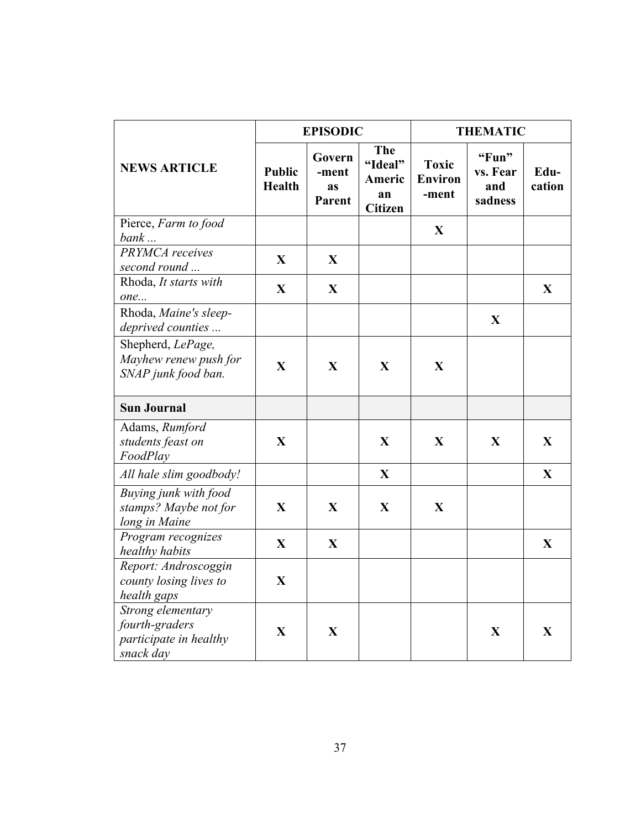|                                                                            |                                | <b>EPISODIC</b>                        |                                                  | <b>THEMATIC</b>                         |                                     |                |  |
|----------------------------------------------------------------------------|--------------------------------|----------------------------------------|--------------------------------------------------|-----------------------------------------|-------------------------------------|----------------|--|
| <b>NEWS ARTICLE</b>                                                        | <b>Public</b><br><b>Health</b> | Govern<br>-ment<br><b>as</b><br>Parent | The<br>"Ideal"<br>Americ<br>an<br><b>Citizen</b> | <b>Toxic</b><br><b>Environ</b><br>-ment | "Fun"<br>vs. Fear<br>and<br>sadness | Edu-<br>cation |  |
| Pierce, Farm to food<br>bank                                               |                                |                                        |                                                  | $\mathbf{X}$                            |                                     |                |  |
| PRYMCA receives<br>second round                                            | $\mathbf{X}$                   | X                                      |                                                  |                                         |                                     |                |  |
| Rhoda, It starts with<br>one                                               | $\mathbf X$                    | $\mathbf X$                            |                                                  |                                         |                                     | X              |  |
| Rhoda, Maine's sleep-<br>deprived counties                                 |                                |                                        |                                                  |                                         | $\mathbf{X}$                        |                |  |
| Shepherd, LePage,<br>Mayhew renew push for<br>SNAP junk food ban.          | $\mathbf{X}$                   | X                                      | $\mathbf{X}$                                     | $\mathbf X$                             |                                     |                |  |
| <b>Sun Journal</b>                                                         |                                |                                        |                                                  |                                         |                                     |                |  |
| Adams, Rumford<br>students feast on<br>FoodPlay                            | $\mathbf{X}$                   |                                        | X                                                | X                                       | X                                   | X              |  |
| All hale slim goodbody!                                                    |                                |                                        | $\mathbf X$                                      |                                         |                                     | X              |  |
| Buying junk with food<br>stamps? Maybe not for<br>long in Maine            | $\mathbf{X}$                   | $\mathbf{X}$                           | $\mathbf X$                                      | $\mathbf{X}$                            |                                     |                |  |
| Program recognizes<br>healthy habits                                       | $\mathbf X$                    | X                                      |                                                  |                                         |                                     | $\mathbf X$    |  |
| Report: Androscoggin<br>county losing lives to<br>health gaps              | $\mathbf{X}$                   |                                        |                                                  |                                         |                                     |                |  |
| Strong elementary<br>fourth-graders<br>participate in healthy<br>snack day | $\overline{\mathbf{X}}$        | $\mathbf{X}$                           |                                                  |                                         | $\mathbf{X}$                        | X              |  |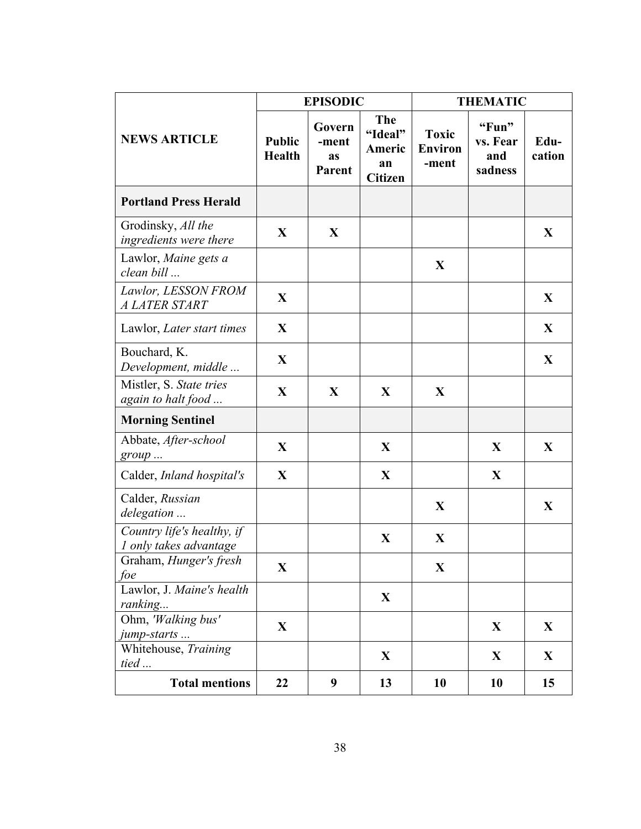|                                                      |                                | <b>EPISODIC</b>                 |                                                         |                                         | <b>THEMATIC</b>                     |                |
|------------------------------------------------------|--------------------------------|---------------------------------|---------------------------------------------------------|-----------------------------------------|-------------------------------------|----------------|
| <b>NEWS ARTICLE</b>                                  | <b>Public</b><br><b>Health</b> | Govern<br>-ment<br>as<br>Parent | <b>The</b><br>"Ideal"<br>Americ<br>an<br><b>Citizen</b> | <b>Toxic</b><br><b>Environ</b><br>-ment | "Fun"<br>vs. Fear<br>and<br>sadness | Edu-<br>cation |
| <b>Portland Press Herald</b>                         |                                |                                 |                                                         |                                         |                                     |                |
| Grodinsky, All the<br>ingredients were there         | X                              | X                               |                                                         |                                         |                                     | X              |
| Lawlor, Maine gets a<br>clean bill                   |                                |                                 |                                                         | $\mathbf{X}$                            |                                     |                |
| Lawlor, LESSON FROM<br>A LATER START                 | X                              |                                 |                                                         |                                         |                                     | X              |
| Lawlor, Later start times                            | $\mathbf X$                    |                                 |                                                         |                                         |                                     | X              |
| Bouchard, K.<br>Development, middle                  | X                              |                                 |                                                         |                                         |                                     | X              |
| Mistler, S. State tries<br>again to halt food        | $\mathbf X$                    | X                               | X                                                       | $\mathbf{X}$                            |                                     |                |
| <b>Morning Sentinel</b>                              |                                |                                 |                                                         |                                         |                                     |                |
| Abbate, After-school<br>group                        | X                              |                                 | X                                                       |                                         | X                                   | X              |
| Calder, Inland hospital's                            | $\mathbf X$                    |                                 | X                                                       |                                         | X                                   |                |
| Calder, Russian<br>delegation                        |                                |                                 |                                                         | $\mathbf{X}$                            |                                     | X              |
| Country life's healthy, if<br>1 only takes advantage |                                |                                 | $\mathbf X$                                             | $\mathbf{X}$                            |                                     |                |
| Graham, Hunger's fresh<br>foe                        | $\mathbf{X}$                   |                                 |                                                         | $\mathbf{X}$                            |                                     |                |
| Lawlor, J. Maine's health<br>ranking                 |                                |                                 | X                                                       |                                         |                                     |                |
| Ohm, 'Walking bus'<br>jump-starts                    | $\mathbf{X}$                   |                                 |                                                         |                                         | X                                   | X              |
| Whitehouse, Training<br>tied                         |                                |                                 | X                                                       |                                         | X                                   | X              |
| <b>Total mentions</b>                                | 22                             | 9                               | 13                                                      | 10                                      | 10                                  | 15             |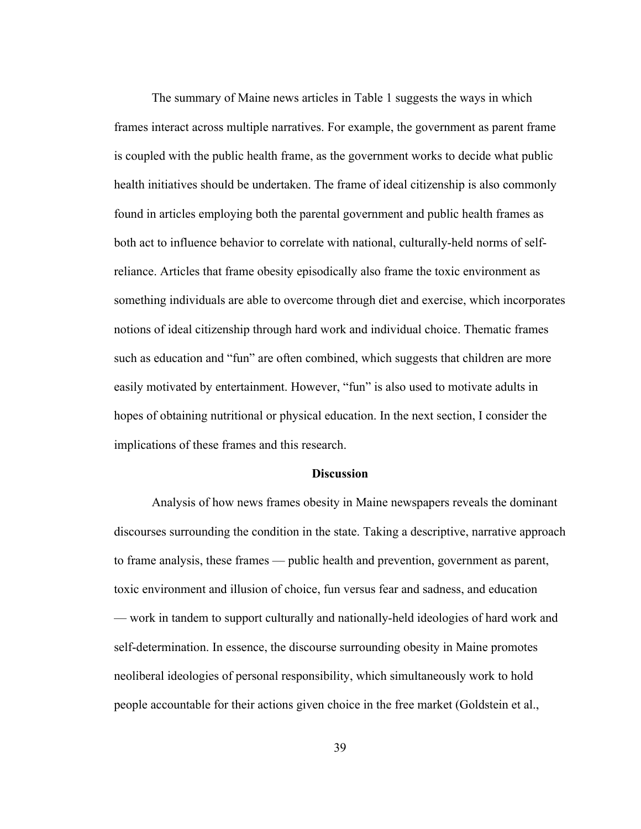The summary of Maine news articles in Table 1 suggests the ways in which frames interact across multiple narratives. For example, the government as parent frame is coupled with the public health frame, as the government works to decide what public health initiatives should be undertaken. The frame of ideal citizenship is also commonly found in articles employing both the parental government and public health frames as both act to influence behavior to correlate with national, culturally-held norms of selfreliance. Articles that frame obesity episodically also frame the toxic environment as something individuals are able to overcome through diet and exercise, which incorporates notions of ideal citizenship through hard work and individual choice. Thematic frames such as education and "fun" are often combined, which suggests that children are more easily motivated by entertainment. However, "fun" is also used to motivate adults in hopes of obtaining nutritional or physical education. In the next section, I consider the implications of these frames and this research.

### **Discussion**

Analysis of how news frames obesity in Maine newspapers reveals the dominant discourses surrounding the condition in the state. Taking a descriptive, narrative approach to frame analysis, these frames — public health and prevention, government as parent, toxic environment and illusion of choice, fun versus fear and sadness, and education — work in tandem to support culturally and nationally-held ideologies of hard work and self-determination. In essence, the discourse surrounding obesity in Maine promotes neoliberal ideologies of personal responsibility, which simultaneously work to hold people accountable for their actions given choice in the free market (Goldstein et al.,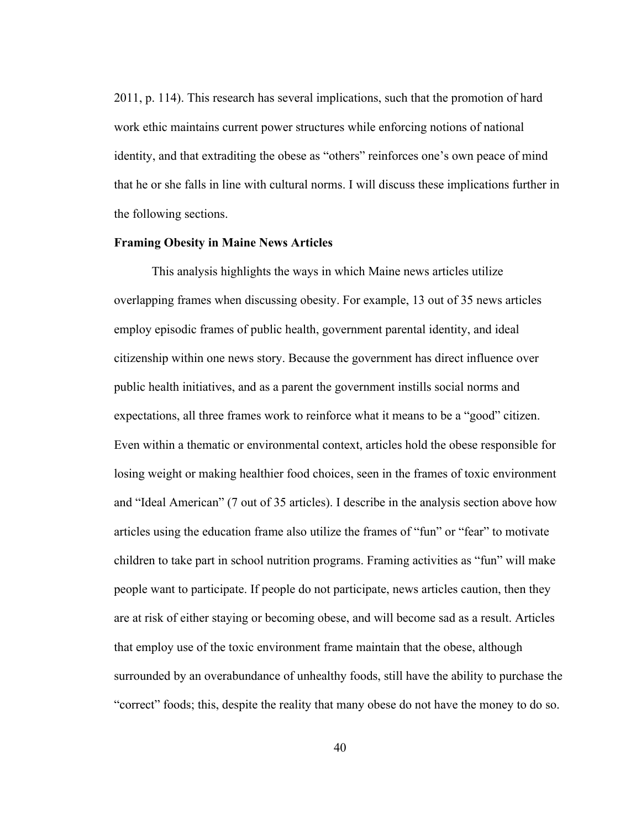2011, p. 114). This research has several implications, such that the promotion of hard work ethic maintains current power structures while enforcing notions of national identity, and that extraditing the obese as "others" reinforces one's own peace of mind that he or she falls in line with cultural norms. I will discuss these implications further in the following sections.

### **Framing Obesity in Maine News Articles**

This analysis highlights the ways in which Maine news articles utilize overlapping frames when discussing obesity. For example, 13 out of 35 news articles employ episodic frames of public health, government parental identity, and ideal citizenship within one news story. Because the government has direct influence over public health initiatives, and as a parent the government instills social norms and expectations, all three frames work to reinforce what it means to be a "good" citizen. Even within a thematic or environmental context, articles hold the obese responsible for losing weight or making healthier food choices, seen in the frames of toxic environment and "Ideal American" (7 out of 35 articles). I describe in the analysis section above how articles using the education frame also utilize the frames of "fun" or "fear" to motivate children to take part in school nutrition programs. Framing activities as "fun" will make people want to participate. If people do not participate, news articles caution, then they are at risk of either staying or becoming obese, and will become sad as a result. Articles that employ use of the toxic environment frame maintain that the obese, although surrounded by an overabundance of unhealthy foods, still have the ability to purchase the "correct" foods; this, despite the reality that many obese do not have the money to do so.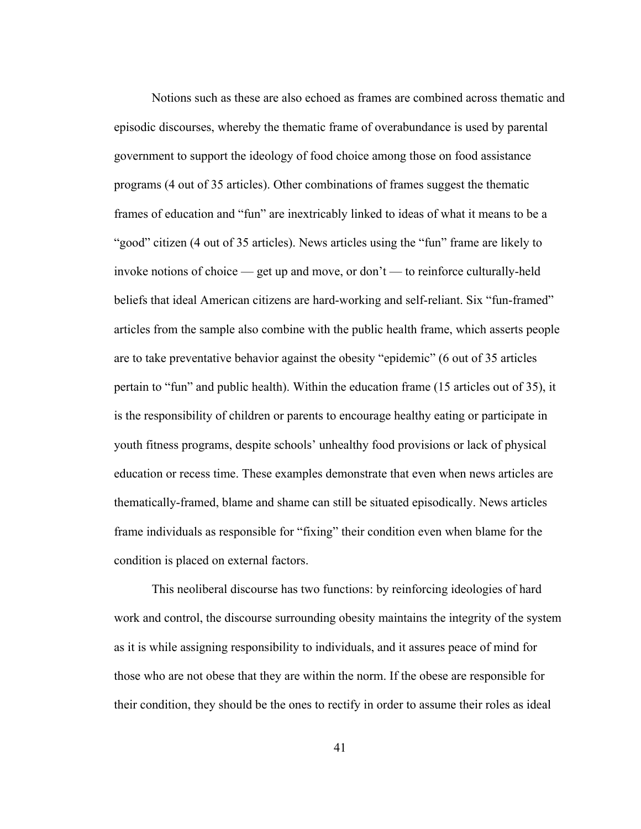Notions such as these are also echoed as frames are combined across thematic and episodic discourses, whereby the thematic frame of overabundance is used by parental government to support the ideology of food choice among those on food assistance programs (4 out of 35 articles). Other combinations of frames suggest the thematic frames of education and "fun" are inextricably linked to ideas of what it means to be a "good" citizen (4 out of 35 articles). News articles using the "fun" frame are likely to invoke notions of choice — get up and move, or don't — to reinforce culturally-held beliefs that ideal American citizens are hard-working and self-reliant. Six "fun-framed" articles from the sample also combine with the public health frame, which asserts people are to take preventative behavior against the obesity "epidemic" (6 out of 35 articles pertain to "fun" and public health). Within the education frame (15 articles out of 35), it is the responsibility of children or parents to encourage healthy eating or participate in youth fitness programs, despite schools' unhealthy food provisions or lack of physical education or recess time. These examples demonstrate that even when news articles are thematically-framed, blame and shame can still be situated episodically. News articles frame individuals as responsible for "fixing" their condition even when blame for the condition is placed on external factors.

This neoliberal discourse has two functions: by reinforcing ideologies of hard work and control, the discourse surrounding obesity maintains the integrity of the system as it is while assigning responsibility to individuals, and it assures peace of mind for those who are not obese that they are within the norm. If the obese are responsible for their condition, they should be the ones to rectify in order to assume their roles as ideal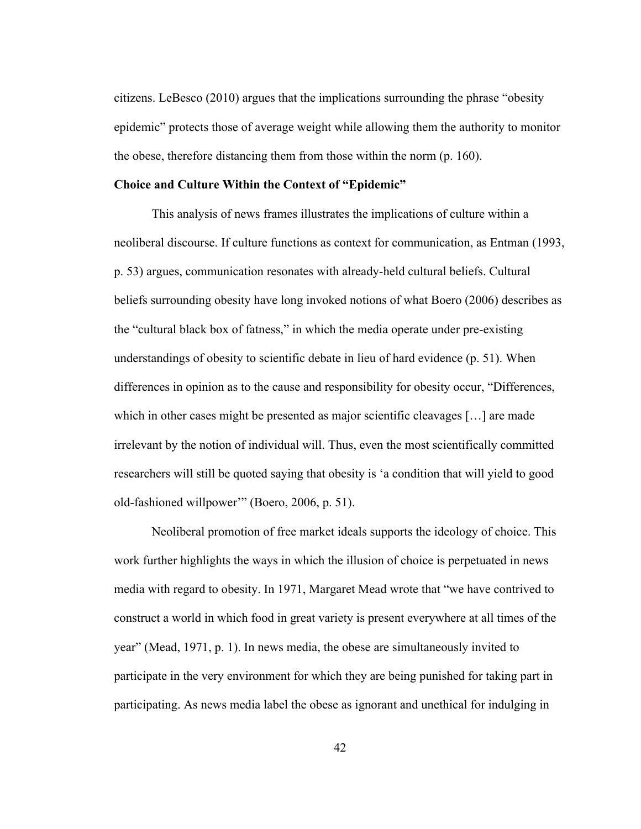citizens. LeBesco (2010) argues that the implications surrounding the phrase "obesity epidemic" protects those of average weight while allowing them the authority to monitor the obese, therefore distancing them from those within the norm (p. 160).

## **Choice and Culture Within the Context of "Epidemic"**

This analysis of news frames illustrates the implications of culture within a neoliberal discourse. If culture functions as context for communication, as Entman (1993, p. 53) argues, communication resonates with already-held cultural beliefs. Cultural beliefs surrounding obesity have long invoked notions of what Boero (2006) describes as the "cultural black box of fatness," in which the media operate under pre-existing understandings of obesity to scientific debate in lieu of hard evidence (p. 51). When differences in opinion as to the cause and responsibility for obesity occur, "Differences, which in other cases might be presented as major scientific cleavages […] are made irrelevant by the notion of individual will. Thus, even the most scientifically committed researchers will still be quoted saying that obesity is 'a condition that will yield to good old-fashioned willpower'" (Boero, 2006, p. 51).

Neoliberal promotion of free market ideals supports the ideology of choice. This work further highlights the ways in which the illusion of choice is perpetuated in news media with regard to obesity. In 1971, Margaret Mead wrote that "we have contrived to construct a world in which food in great variety is present everywhere at all times of the year" (Mead, 1971, p. 1). In news media, the obese are simultaneously invited to participate in the very environment for which they are being punished for taking part in participating. As news media label the obese as ignorant and unethical for indulging in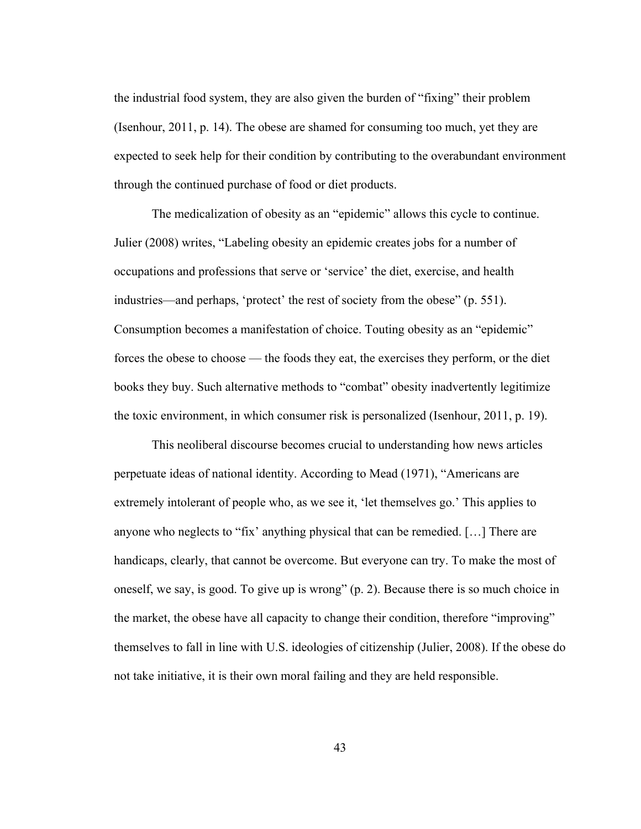the industrial food system, they are also given the burden of "fixing" their problem (Isenhour, 2011, p. 14). The obese are shamed for consuming too much, yet they are expected to seek help for their condition by contributing to the overabundant environment through the continued purchase of food or diet products.

The medicalization of obesity as an "epidemic" allows this cycle to continue. Julier (2008) writes, "Labeling obesity an epidemic creates jobs for a number of occupations and professions that serve or 'service' the diet, exercise, and health industries—and perhaps, 'protect' the rest of society from the obese" (p. 551). Consumption becomes a manifestation of choice. Touting obesity as an "epidemic" forces the obese to choose — the foods they eat, the exercises they perform, or the diet books they buy. Such alternative methods to "combat" obesity inadvertently legitimize the toxic environment, in which consumer risk is personalized (Isenhour, 2011, p. 19).

This neoliberal discourse becomes crucial to understanding how news articles perpetuate ideas of national identity. According to Mead (1971), "Americans are extremely intolerant of people who, as we see it, 'let themselves go.' This applies to anyone who neglects to "fix' anything physical that can be remedied. […] There are handicaps, clearly, that cannot be overcome. But everyone can try. To make the most of oneself, we say, is good. To give up is wrong" (p. 2). Because there is so much choice in the market, the obese have all capacity to change their condition, therefore "improving" themselves to fall in line with U.S. ideologies of citizenship (Julier, 2008). If the obese do not take initiative, it is their own moral failing and they are held responsible.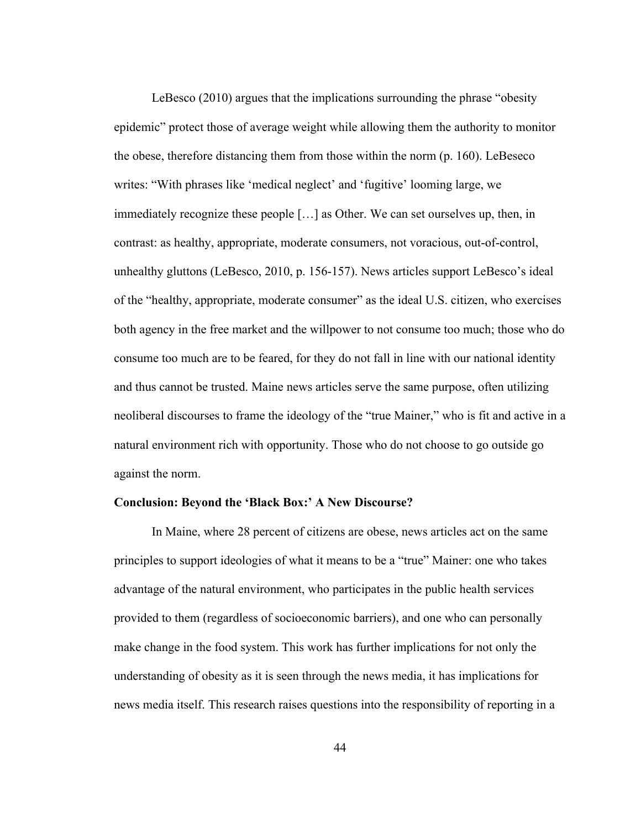LeBesco (2010) argues that the implications surrounding the phrase "obesity epidemic" protect those of average weight while allowing them the authority to monitor the obese, therefore distancing them from those within the norm (p. 160). LeBeseco writes: "With phrases like 'medical neglect' and 'fugitive' looming large, we immediately recognize these people […] as Other. We can set ourselves up, then, in contrast: as healthy, appropriate, moderate consumers, not voracious, out-of-control, unhealthy gluttons (LeBesco, 2010, p. 156-157). News articles support LeBesco's ideal of the "healthy, appropriate, moderate consumer" as the ideal U.S. citizen, who exercises both agency in the free market and the willpower to not consume too much; those who do consume too much are to be feared, for they do not fall in line with our national identity and thus cannot be trusted. Maine news articles serve the same purpose, often utilizing neoliberal discourses to frame the ideology of the "true Mainer," who is fit and active in a natural environment rich with opportunity. Those who do not choose to go outside go against the norm.

#### **Conclusion: Beyond the 'Black Box:' A New Discourse?**

In Maine, where 28 percent of citizens are obese, news articles act on the same principles to support ideologies of what it means to be a "true" Mainer: one who takes advantage of the natural environment, who participates in the public health services provided to them (regardless of socioeconomic barriers), and one who can personally make change in the food system. This work has further implications for not only the understanding of obesity as it is seen through the news media, it has implications for news media itself. This research raises questions into the responsibility of reporting in a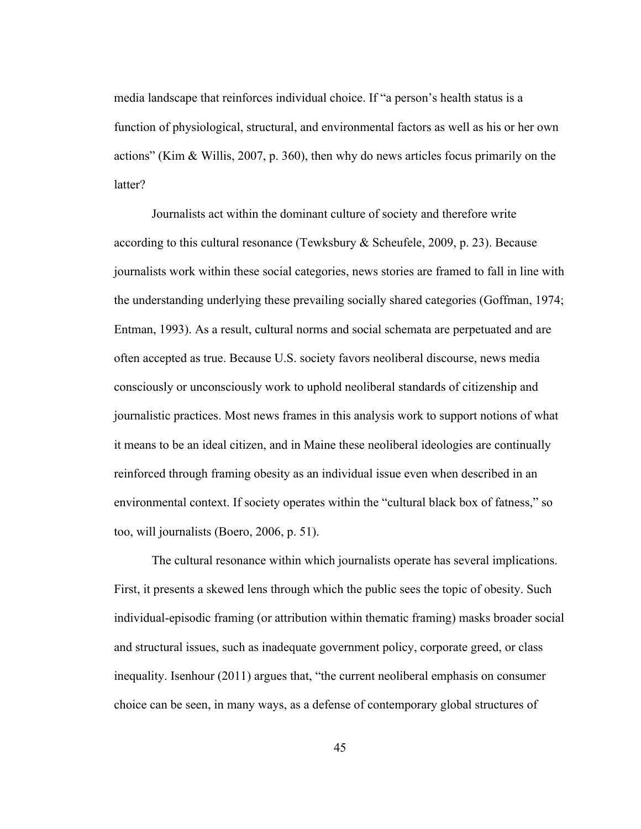media landscape that reinforces individual choice. If "a person's health status is a function of physiological, structural, and environmental factors as well as his or her own actions" (Kim & Willis, 2007, p. 360), then why do news articles focus primarily on the latter?

Journalists act within the dominant culture of society and therefore write according to this cultural resonance (Tewksbury & Scheufele, 2009, p. 23). Because journalists work within these social categories, news stories are framed to fall in line with the understanding underlying these prevailing socially shared categories (Goffman, 1974; Entman, 1993). As a result, cultural norms and social schemata are perpetuated and are often accepted as true. Because U.S. society favors neoliberal discourse, news media consciously or unconsciously work to uphold neoliberal standards of citizenship and journalistic practices. Most news frames in this analysis work to support notions of what it means to be an ideal citizen, and in Maine these neoliberal ideologies are continually reinforced through framing obesity as an individual issue even when described in an environmental context. If society operates within the "cultural black box of fatness," so too, will journalists (Boero, 2006, p. 51).

The cultural resonance within which journalists operate has several implications. First, it presents a skewed lens through which the public sees the topic of obesity. Such individual-episodic framing (or attribution within thematic framing) masks broader social and structural issues, such as inadequate government policy, corporate greed, or class inequality. Isenhour (2011) argues that, "the current neoliberal emphasis on consumer choice can be seen, in many ways, as a defense of contemporary global structures of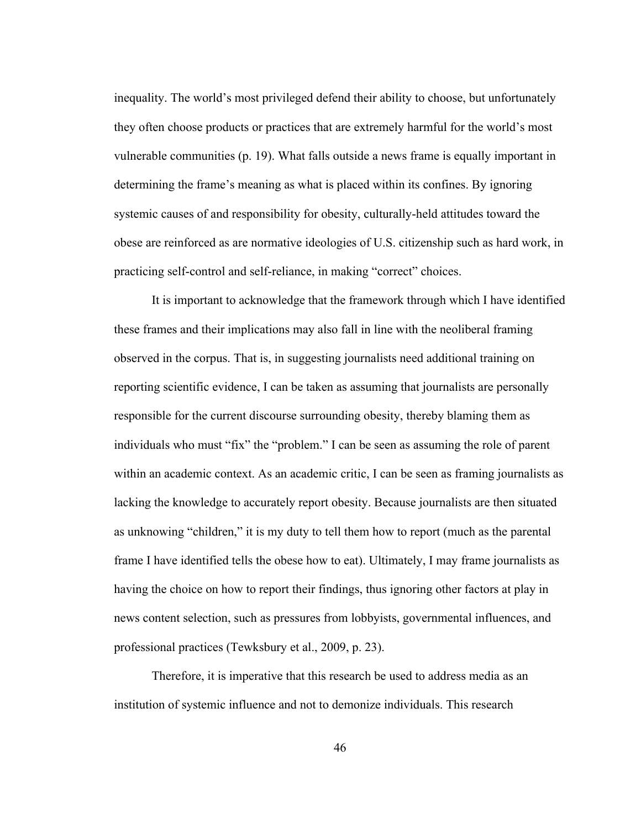inequality. The world's most privileged defend their ability to choose, but unfortunately they often choose products or practices that are extremely harmful for the world's most vulnerable communities (p. 19). What falls outside a news frame is equally important in determining the frame's meaning as what is placed within its confines. By ignoring systemic causes of and responsibility for obesity, culturally-held attitudes toward the obese are reinforced as are normative ideologies of U.S. citizenship such as hard work, in practicing self-control and self-reliance, in making "correct" choices.

It is important to acknowledge that the framework through which I have identified these frames and their implications may also fall in line with the neoliberal framing observed in the corpus. That is, in suggesting journalists need additional training on reporting scientific evidence, I can be taken as assuming that journalists are personally responsible for the current discourse surrounding obesity, thereby blaming them as individuals who must "fix" the "problem." I can be seen as assuming the role of parent within an academic context. As an academic critic, I can be seen as framing journalists as lacking the knowledge to accurately report obesity. Because journalists are then situated as unknowing "children," it is my duty to tell them how to report (much as the parental frame I have identified tells the obese how to eat). Ultimately, I may frame journalists as having the choice on how to report their findings, thus ignoring other factors at play in news content selection, such as pressures from lobbyists, governmental influences, and professional practices (Tewksbury et al., 2009, p. 23).

Therefore, it is imperative that this research be used to address media as an institution of systemic influence and not to demonize individuals. This research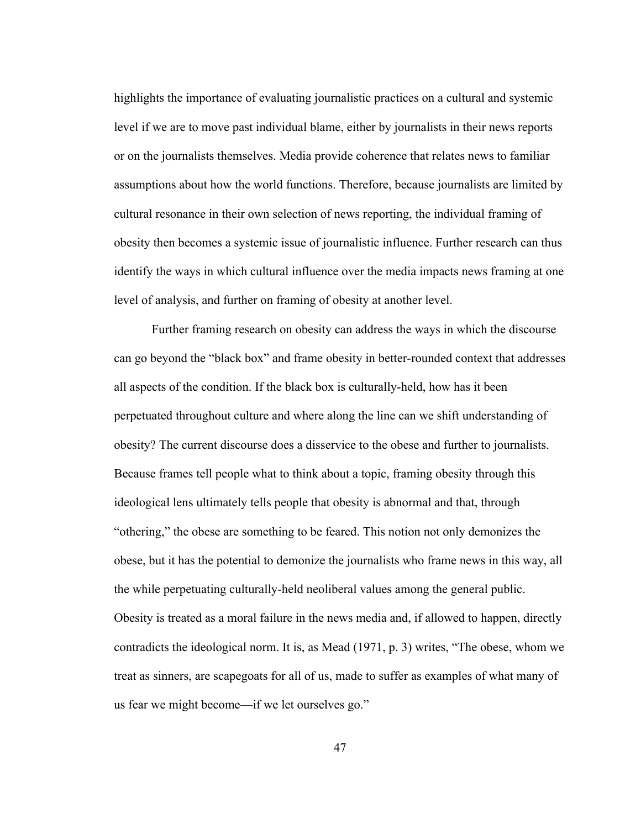highlights the importance of evaluating journalistic practices on a cultural and systemic level if we are to move past individual blame, either by journalists in their news reports or on the journalists themselves. Media provide coherence that relates news to familiar assumptions about how the world functions. Therefore, because journalists are limited by cultural resonance in their own selection of news reporting, the individual framing of obesity then becomes a systemic issue of journalistic influence. Further research can thus identify the ways in which cultural influence over the media impacts news framing at one level of analysis, and further on framing of obesity at another level.

Further framing research on obesity can address the ways in which the discourse can go beyond the "black box" and frame obesity in better-rounded context that addresses all aspects of the condition. If the black box is culturally-held, how has it been perpetuated throughout culture and where along the line can we shift understanding of obesity? The current discourse does a disservice to the obese and further to journalists. Because frames tell people what to think about a topic, framing obesity through this ideological lens ultimately tells people that obesity is abnormal and that, through "othering," the obese are something to be feared. This notion not only demonizes the obese, but it has the potential to demonize the journalists who frame news in this way, all the while perpetuating culturally-held neoliberal values among the general public. Obesity is treated as a moral failure in the news media and, if allowed to happen, directly contradicts the ideological norm. It is, as Mead (1971, p. 3) writes, "The obese, whom we treat as sinners, are scapegoats for all of us, made to suffer as examples of what many of us fear we might become—if we let ourselves go."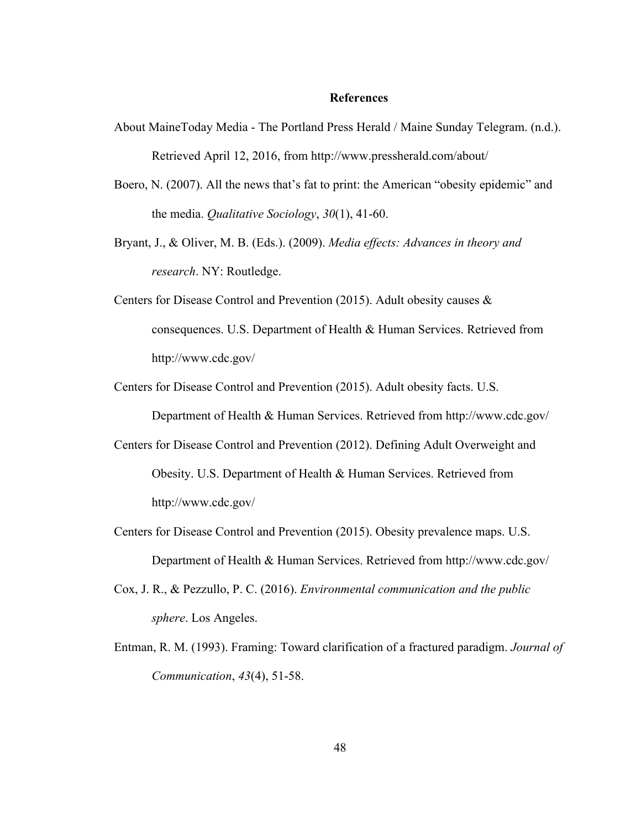## **References**

- About MaineToday Media The Portland Press Herald / Maine Sunday Telegram. (n.d.). Retrieved April 12, 2016, from http://www.pressherald.com/about/
- Boero, N. (2007). All the news that's fat to print: the American "obesity epidemic" and the media. *Qualitative Sociology*, *30*(1), 41-60.
- Bryant, J., & Oliver, M. B. (Eds.). (2009). *Media effects: Advances in theory and research*. NY: Routledge.
- Centers for Disease Control and Prevention (2015). Adult obesity causes & consequences. U.S. Department of Health & Human Services. Retrieved from http://www.cdc.gov/
- Centers for Disease Control and Prevention (2015). Adult obesity facts. U.S.

Department of Health & Human Services. Retrieved from http://www.cdc.gov/

- Centers for Disease Control and Prevention (2012). Defining Adult Overweight and Obesity. U.S. Department of Health & Human Services. Retrieved from http://www.cdc.gov/
- Centers for Disease Control and Prevention (2015). Obesity prevalence maps. U.S. Department of Health & Human Services. Retrieved from http://www.cdc.gov/
- Cox, J. R., & Pezzullo, P. C. (2016). *Environmental communication and the public sphere*. Los Angeles.
- Entman, R. M. (1993). Framing: Toward clarification of a fractured paradigm. *Journal of Communication*, *43*(4), 51-58.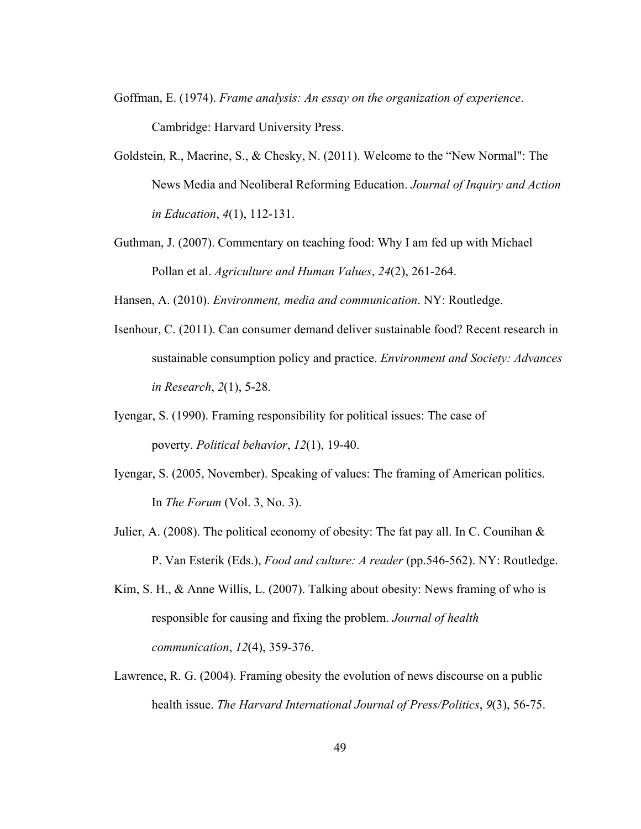- Goffman, E. (1974). *Frame analysis: An essay on the organization of experience*. Cambridge: Harvard University Press.
- Goldstein, R., Macrine, S., & Chesky, N. (2011). Welcome to the "New Normal": The News Media and Neoliberal Reforming Education. *Journal of Inquiry and Action in Education*, *4*(1), 112-131.
- Guthman, J. (2007). Commentary on teaching food: Why I am fed up with Michael Pollan et al. *Agriculture and Human Values*, *24*(2), 261-264.

Hansen, A. (2010). *Environment, media and communication*. NY: Routledge.

- Isenhour, C. (2011). Can consumer demand deliver sustainable food? Recent research in sustainable consumption policy and practice. *Environment and Society: Advances in Research*, *2*(1), 5-28.
- Iyengar, S. (1990). Framing responsibility for political issues: The case of poverty. *Political behavior*, *12*(1), 19-40.
- Iyengar, S. (2005, November). Speaking of values: The framing of American politics. In *The Forum* (Vol. 3, No. 3).
- Julier, A. (2008). The political economy of obesity: The fat pay all. In C. Counihan & P. Van Esterik (Eds.), *Food and culture: A reader* (pp.546-562). NY: Routledge.
- Kim, S. H., & Anne Willis, L. (2007). Talking about obesity: News framing of who is responsible for causing and fixing the problem. *Journal of health communication*, *12*(4), 359-376.
- Lawrence, R. G. (2004). Framing obesity the evolution of news discourse on a public health issue. *The Harvard International Journal of Press/Politics*, *9*(3), 56-75.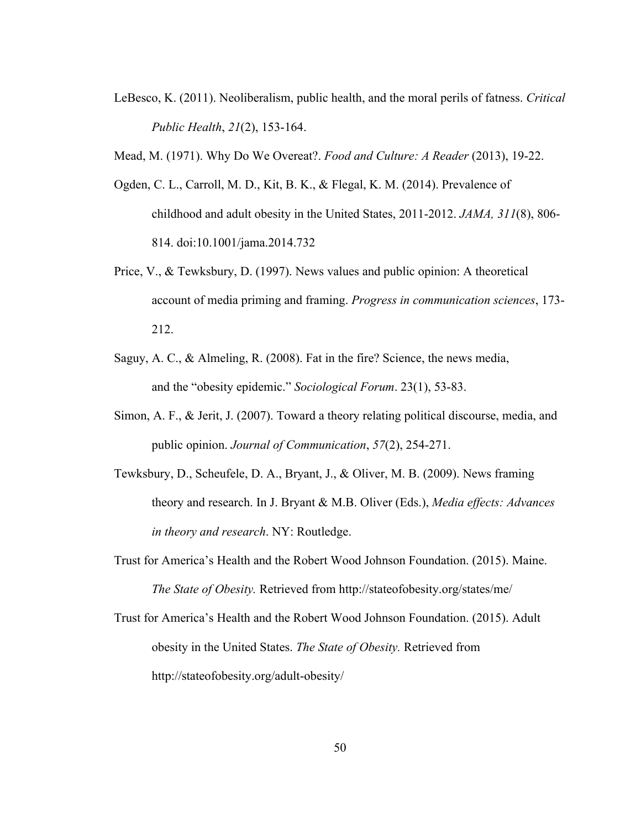- LeBesco, K. (2011). Neoliberalism, public health, and the moral perils of fatness. *Critical Public Health*, *21*(2), 153-164.
- Mead, M. (1971). Why Do We Overeat?. *Food and Culture: A Reader* (2013), 19-22.
- Ogden, C. L., Carroll, M. D., Kit, B. K., & Flegal, K. M. (2014). Prevalence of childhood and adult obesity in the United States, 2011-2012. *JAMA, 311*(8), 806- 814. doi:10.1001/jama.2014.732
- Price, V., & Tewksbury, D. (1997). News values and public opinion: A theoretical account of media priming and framing. *Progress in communication sciences*, 173- 212.
- Saguy, A. C., & Almeling, R. (2008). Fat in the fire? Science, the news media, and the "obesity epidemic." *Sociological Forum*. 23(1), 53-83.
- Simon, A. F., & Jerit, J. (2007). Toward a theory relating political discourse, media, and public opinion. *Journal of Communication*, *57*(2), 254-271.
- Tewksbury, D., Scheufele, D. A., Bryant, J., & Oliver, M. B. (2009). News framing theory and research. In J. Bryant & M.B. Oliver (Eds.), *Media effects: Advances in theory and research*. NY: Routledge.
- Trust for America's Health and the Robert Wood Johnson Foundation. (2015). Maine. *The State of Obesity.* Retrieved from http://stateofobesity.org/states/me/
- Trust for America's Health and the Robert Wood Johnson Foundation. (2015). Adult obesity in the United States. *The State of Obesity.* Retrieved from http://stateofobesity.org/adult-obesity/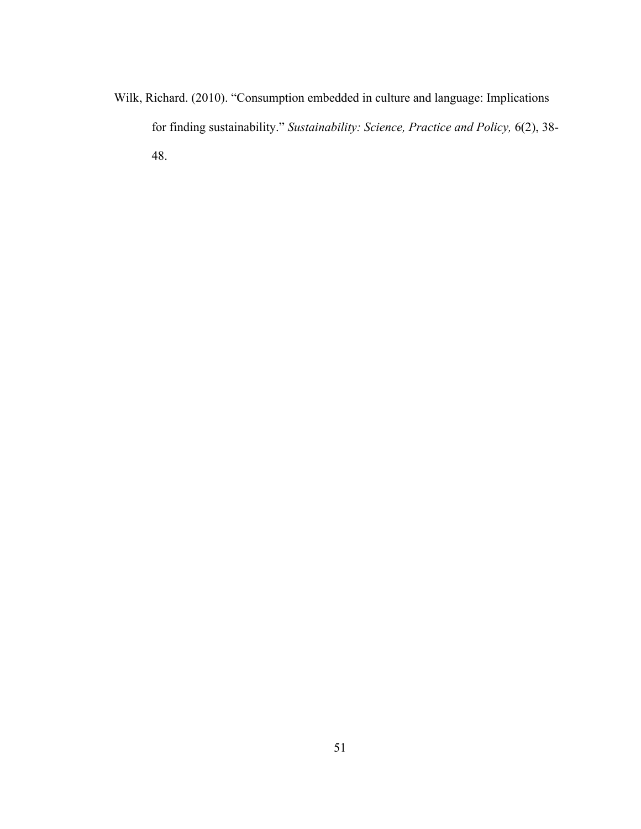Wilk, Richard. (2010). "Consumption embedded in culture and language: Implications for finding sustainability." *Sustainability: Science, Practice and Policy,* 6(2), 38- 48.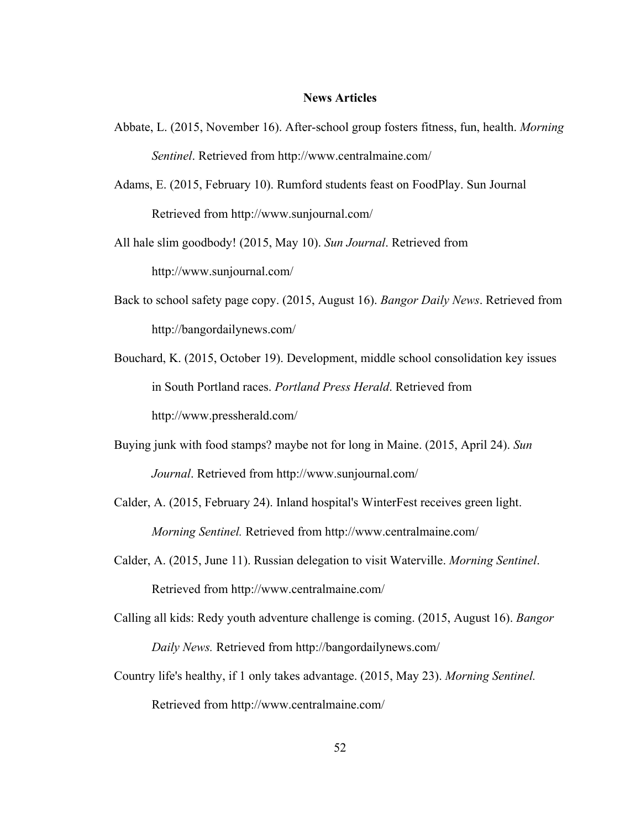# **News Articles**

Abbate, L. (2015, November 16). After-school group fosters fitness, fun, health. *Morning Sentinel*. Retrieved from http://www.centralmaine.com/

Adams, E. (2015, February 10). Rumford students feast on FoodPlay. Sun Journal Retrieved from http://www.sunjournal.com/

All hale slim goodbody! (2015, May 10). *Sun Journal*. Retrieved from http://www.sunjournal.com/

Back to school safety page copy. (2015, August 16). *Bangor Daily News*. Retrieved from http://bangordailynews.com/

Bouchard, K. (2015, October 19). Development, middle school consolidation key issues in South Portland races. *Portland Press Herald*. Retrieved from http://www.pressherald.com/

Buying junk with food stamps? maybe not for long in Maine. (2015, April 24). *Sun Journal*. Retrieved from http://www.sunjournal.com/

Calder, A. (2015, February 24). Inland hospital's WinterFest receives green light. *Morning Sentinel.* Retrieved from http://www.centralmaine.com/

Calder, A. (2015, June 11). Russian delegation to visit Waterville. *Morning Sentinel*. Retrieved from http://www.centralmaine.com/

Calling all kids: Redy youth adventure challenge is coming. (2015, August 16). *Bangor Daily News.* Retrieved from http://bangordailynews.com/

Country life's healthy, if 1 only takes advantage. (2015, May 23). *Morning Sentinel.* Retrieved from http://www.centralmaine.com/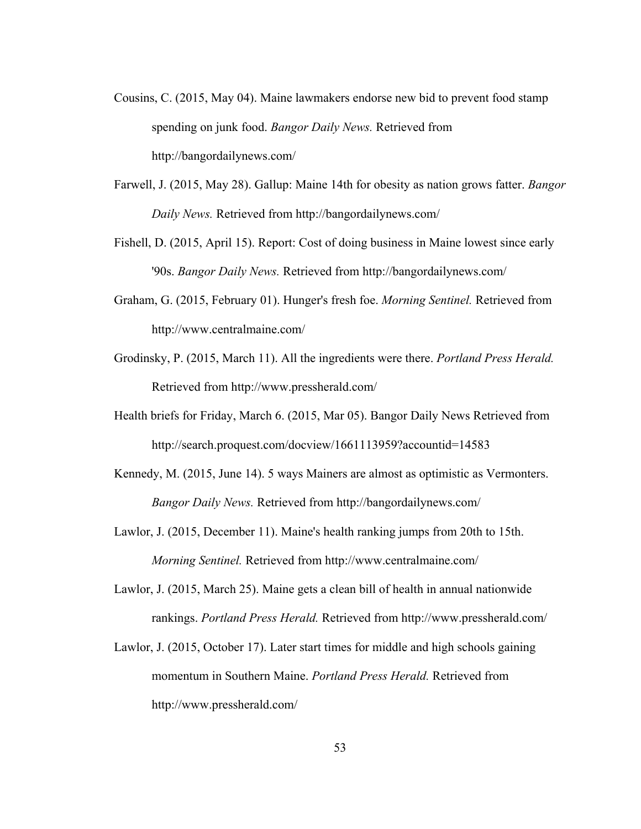- Cousins, C. (2015, May 04). Maine lawmakers endorse new bid to prevent food stamp spending on junk food. *Bangor Daily News.* Retrieved from http://bangordailynews.com/
- Farwell, J. (2015, May 28). Gallup: Maine 14th for obesity as nation grows fatter. *Bangor Daily News.* Retrieved from http://bangordailynews.com/
- Fishell, D. (2015, April 15). Report: Cost of doing business in Maine lowest since early '90s. *Bangor Daily News.* Retrieved from http://bangordailynews.com/
- Graham, G. (2015, February 01). Hunger's fresh foe. *Morning Sentinel.* Retrieved from http://www.centralmaine.com/
- Grodinsky, P. (2015, March 11). All the ingredients were there. *Portland Press Herald.* Retrieved from http://www.pressherald.com/
- Health briefs for Friday, March 6. (2015, Mar 05). Bangor Daily News Retrieved from http://search.proquest.com/docview/1661113959?accountid=14583
- Kennedy, M. (2015, June 14). 5 ways Mainers are almost as optimistic as Vermonters. *Bangor Daily News.* Retrieved from http://bangordailynews.com/
- Lawlor, J. (2015, December 11). Maine's health ranking jumps from 20th to 15th. *Morning Sentinel.* Retrieved from http://www.centralmaine.com/
- Lawlor, J. (2015, March 25). Maine gets a clean bill of health in annual nationwide rankings. *Portland Press Herald.* Retrieved from http://www.pressherald.com/
- Lawlor, J. (2015, October 17). Later start times for middle and high schools gaining momentum in Southern Maine. *Portland Press Herald.* Retrieved from http://www.pressherald.com/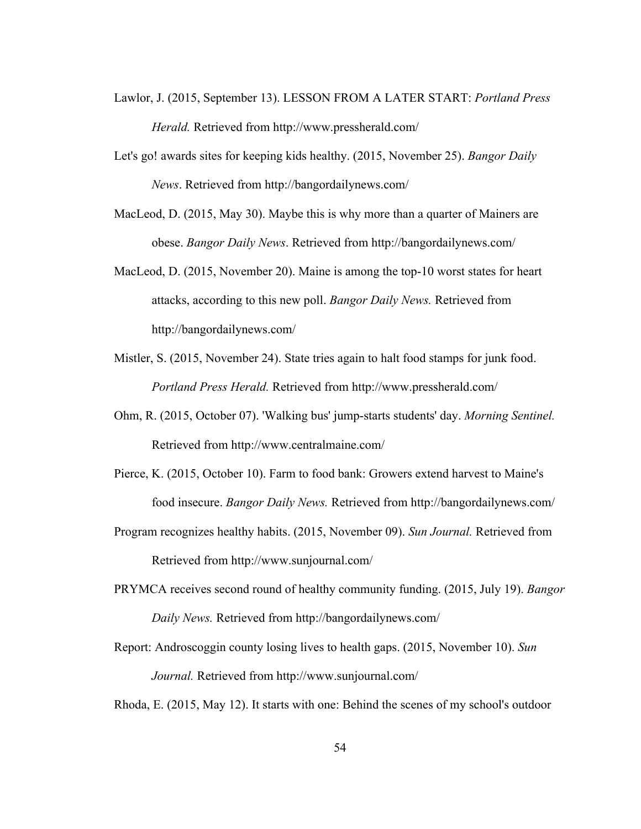- Lawlor, J. (2015, September 13). LESSON FROM A LATER START: *Portland Press Herald.* Retrieved from http://www.pressherald.com/
- Let's go! awards sites for keeping kids healthy. (2015, November 25). *Bangor Daily News*. Retrieved from http://bangordailynews.com/
- MacLeod, D. (2015, May 30). Maybe this is why more than a quarter of Mainers are obese. *Bangor Daily News*. Retrieved from http://bangordailynews.com/
- MacLeod, D. (2015, November 20). Maine is among the top-10 worst states for heart attacks, according to this new poll. *Bangor Daily News.* Retrieved from http://bangordailynews.com/
- Mistler, S. (2015, November 24). State tries again to halt food stamps for junk food. *Portland Press Herald.* Retrieved from http://www.pressherald.com/
- Ohm, R. (2015, October 07). 'Walking bus' jump-starts students' day. *Morning Sentinel.* Retrieved from http://www.centralmaine.com/
- Pierce, K. (2015, October 10). Farm to food bank: Growers extend harvest to Maine's food insecure. *Bangor Daily News.* Retrieved from http://bangordailynews.com/
- Program recognizes healthy habits. (2015, November 09). *Sun Journal.* Retrieved from Retrieved from http://www.sunjournal.com/
- PRYMCA receives second round of healthy community funding. (2015, July 19). *Bangor Daily News.* Retrieved from http://bangordailynews.com/
- Report: Androscoggin county losing lives to health gaps. (2015, November 10). *Sun Journal.* Retrieved from http://www.sunjournal.com/

Rhoda, E. (2015, May 12). It starts with one: Behind the scenes of my school's outdoor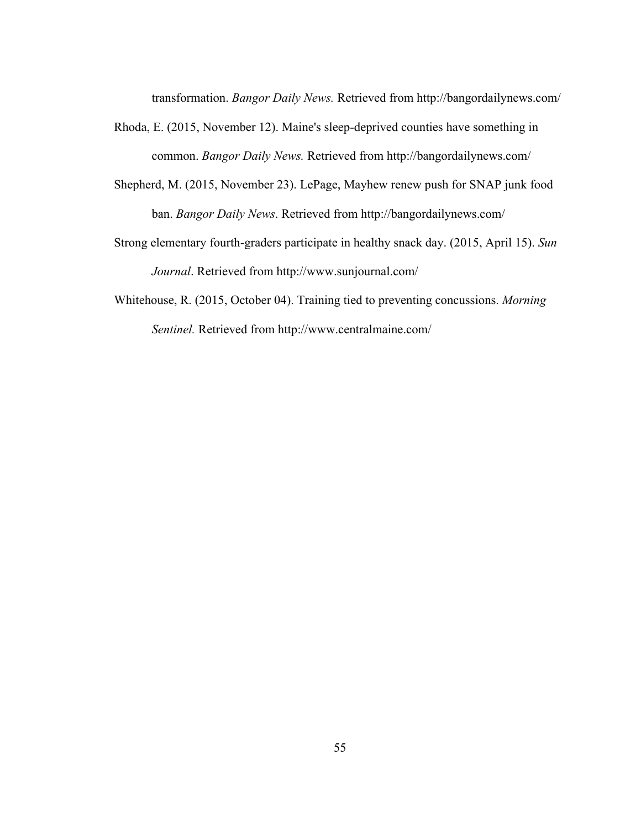transformation. *Bangor Daily News.* Retrieved from http://bangordailynews.com/

- Rhoda, E. (2015, November 12). Maine's sleep-deprived counties have something in common. *Bangor Daily News.* Retrieved from http://bangordailynews.com/
- Shepherd, M. (2015, November 23). LePage, Mayhew renew push for SNAP junk food ban. *Bangor Daily News*. Retrieved from http://bangordailynews.com/
- Strong elementary fourth-graders participate in healthy snack day. (2015, April 15). *Sun Journal*. Retrieved from http://www.sunjournal.com/
- Whitehouse, R. (2015, October 04). Training tied to preventing concussions. *Morning Sentinel.* Retrieved from http://www.centralmaine.com/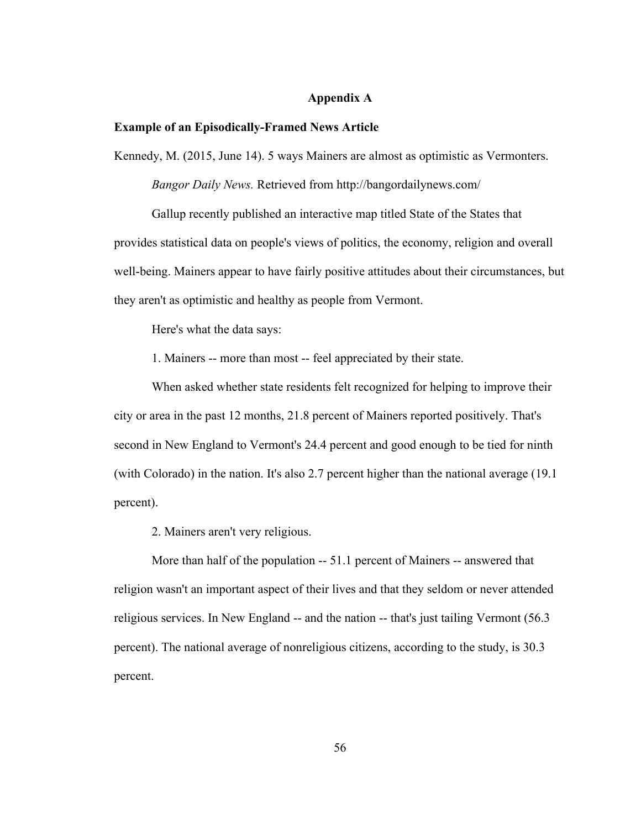# **Appendix A**

#### **Example of an Episodically-Framed News Article**

Kennedy, M. (2015, June 14). 5 ways Mainers are almost as optimistic as Vermonters. *Bangor Daily News.* Retrieved from http://bangordailynews.com/

Gallup recently published an interactive map titled State of the States that provides statistical data on people's views of politics, the economy, religion and overall well-being. Mainers appear to have fairly positive attitudes about their circumstances, but they aren't as optimistic and healthy as people from Vermont.

Here's what the data says:

1. Mainers -- more than most -- feel appreciated by their state.

When asked whether state residents felt recognized for helping to improve their city or area in the past 12 months, 21.8 percent of Mainers reported positively. That's second in New England to Vermont's 24.4 percent and good enough to be tied for ninth (with Colorado) in the nation. It's also 2.7 percent higher than the national average (19.1 percent).

2. Mainers aren't very religious.

More than half of the population -- 51.1 percent of Mainers -- answered that religion wasn't an important aspect of their lives and that they seldom or never attended religious services. In New England -- and the nation -- that's just tailing Vermont (56.3 percent). The national average of nonreligious citizens, according to the study, is 30.3 percent.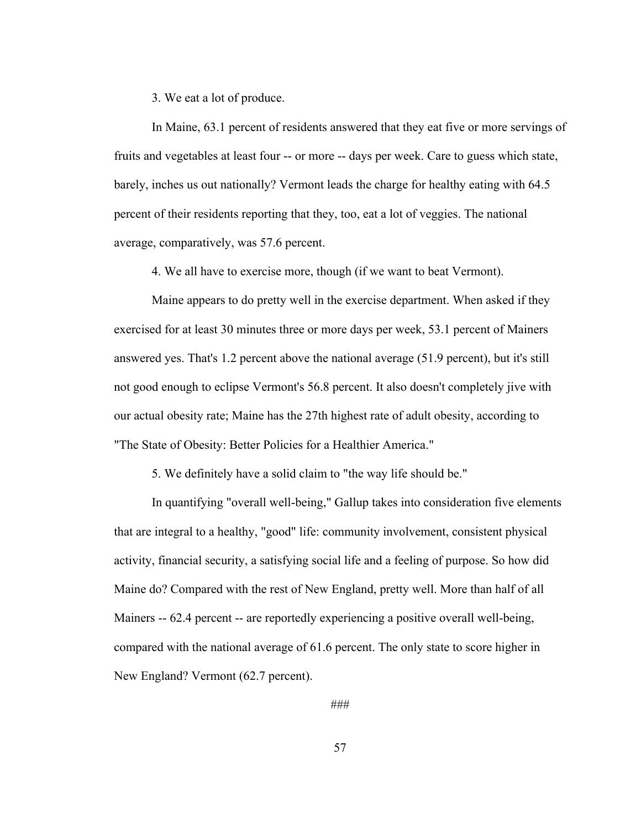3. We eat a lot of produce.

In Maine, 63.1 percent of residents answered that they eat five or more servings of fruits and vegetables at least four -- or more -- days per week. Care to guess which state, barely, inches us out nationally? Vermont leads the charge for healthy eating with 64.5 percent of their residents reporting that they, too, eat a lot of veggies. The national average, comparatively, was 57.6 percent.

4. We all have to exercise more, though (if we want to beat Vermont).

Maine appears to do pretty well in the exercise department. When asked if they exercised for at least 30 minutes three or more days per week, 53.1 percent of Mainers answered yes. That's 1.2 percent above the national average (51.9 percent), but it's still not good enough to eclipse Vermont's 56.8 percent. It also doesn't completely jive with our actual obesity rate; Maine has the 27th highest rate of adult obesity, according to "The State of Obesity: Better Policies for a Healthier America."

5. We definitely have a solid claim to "the way life should be."

In quantifying "overall well-being," Gallup takes into consideration five elements that are integral to a healthy, "good" life: community involvement, consistent physical activity, financial security, a satisfying social life and a feeling of purpose. So how did Maine do? Compared with the rest of New England, pretty well. More than half of all Mainers -- 62.4 percent -- are reportedly experiencing a positive overall well-being, compared with the national average of 61.6 percent. The only state to score higher in New England? Vermont (62.7 percent).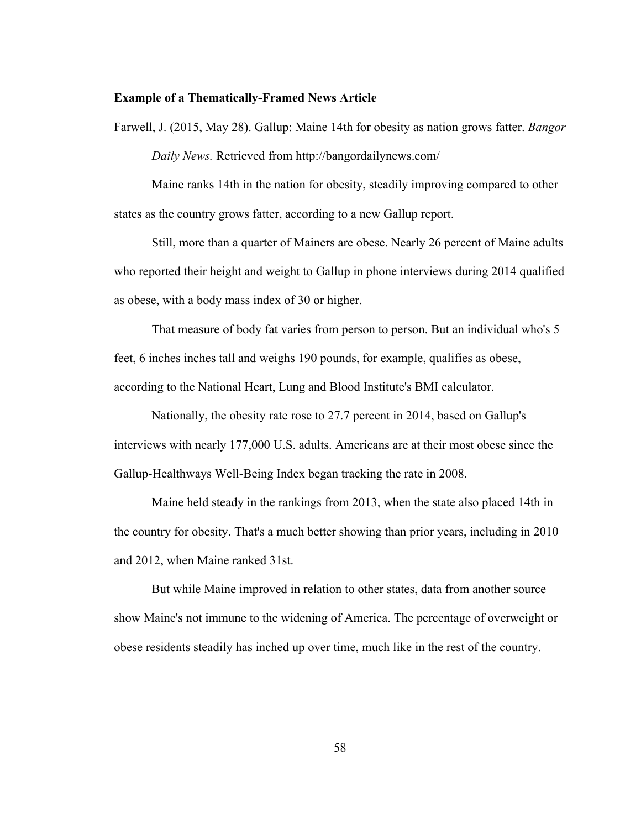#### **Example of a Thematically-Framed News Article**

Farwell, J. (2015, May 28). Gallup: Maine 14th for obesity as nation grows fatter. *Bangor Daily News.* Retrieved from http://bangordailynews.com/

Maine ranks 14th in the nation for obesity, steadily improving compared to other states as the country grows fatter, according to a new Gallup report.

Still, more than a quarter of Mainers are obese. Nearly 26 percent of Maine adults who reported their height and weight to Gallup in phone interviews during 2014 qualified as obese, with a body mass index of 30 or higher.

That measure of body fat varies from person to person. But an individual who's 5 feet, 6 inches inches tall and weighs 190 pounds, for example, qualifies as obese, according to the National Heart, Lung and Blood Institute's BMI calculator.

Nationally, the obesity rate rose to 27.7 percent in 2014, based on Gallup's interviews with nearly 177,000 U.S. adults. Americans are at their most obese since the Gallup-Healthways Well-Being Index began tracking the rate in 2008.

Maine held steady in the rankings from 2013, when the state also placed 14th in the country for obesity. That's a much better showing than prior years, including in 2010 and 2012, when Maine ranked 31st.

But while Maine improved in relation to other states, data from another source show Maine's not immune to the widening of America. The percentage of overweight or obese residents steadily has inched up over time, much like in the rest of the country.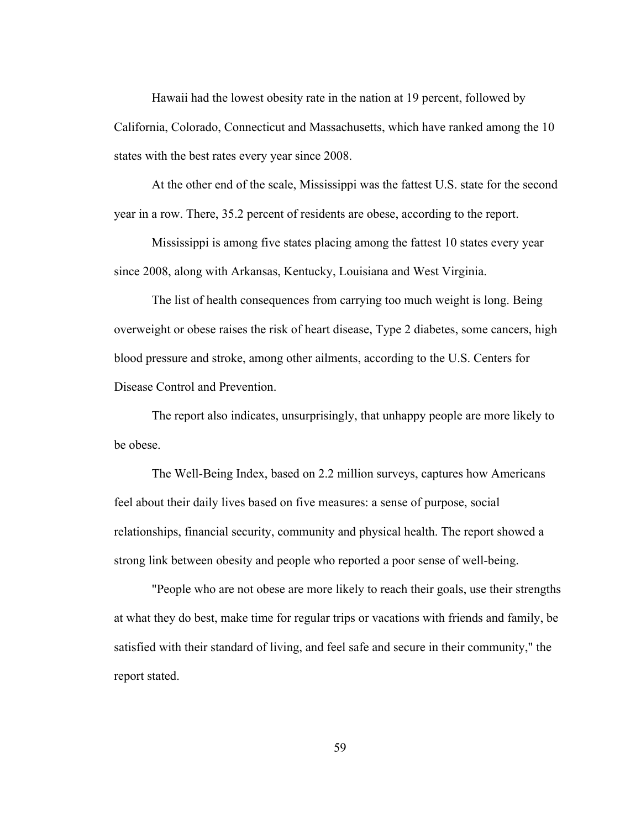Hawaii had the lowest obesity rate in the nation at 19 percent, followed by California, Colorado, Connecticut and Massachusetts, which have ranked among the 10 states with the best rates every year since 2008.

At the other end of the scale, Mississippi was the fattest U.S. state for the second year in a row. There, 35.2 percent of residents are obese, according to the report.

Mississippi is among five states placing among the fattest 10 states every year since 2008, along with Arkansas, Kentucky, Louisiana and West Virginia.

The list of health consequences from carrying too much weight is long. Being overweight or obese raises the risk of heart disease, Type 2 diabetes, some cancers, high blood pressure and stroke, among other ailments, according to the U.S. Centers for Disease Control and Prevention.

The report also indicates, unsurprisingly, that unhappy people are more likely to be obese.

The Well-Being Index, based on 2.2 million surveys, captures how Americans feel about their daily lives based on five measures: a sense of purpose, social relationships, financial security, community and physical health. The report showed a strong link between obesity and people who reported a poor sense of well-being.

"People who are not obese are more likely to reach their goals, use their strengths at what they do best, make time for regular trips or vacations with friends and family, be satisfied with their standard of living, and feel safe and secure in their community," the report stated.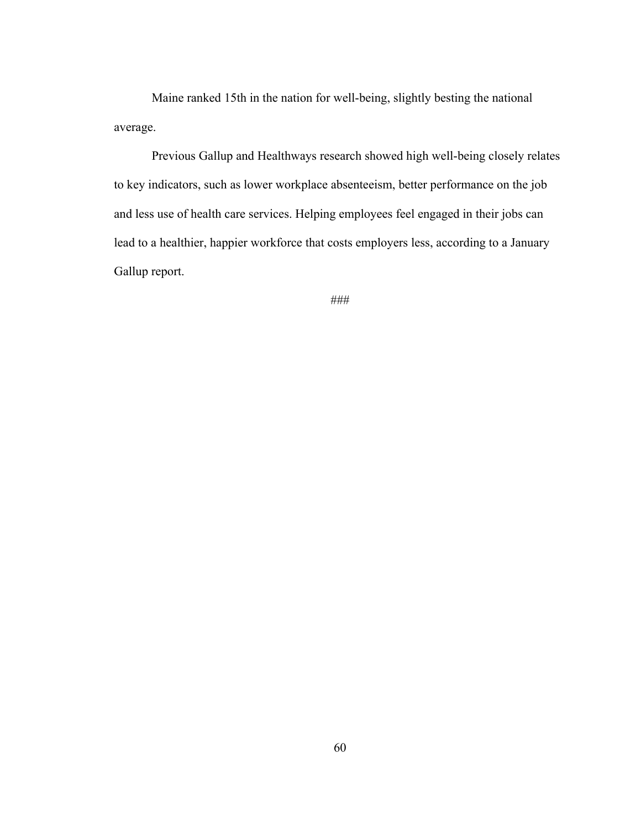Maine ranked 15th in the nation for well-being, slightly besting the national average.

Previous Gallup and Healthways research showed high well-being closely relates to key indicators, such as lower workplace absenteeism, better performance on the job and less use of health care services. Helping employees feel engaged in their jobs can lead to a healthier, happier workforce that costs employers less, according to a January Gallup report.

###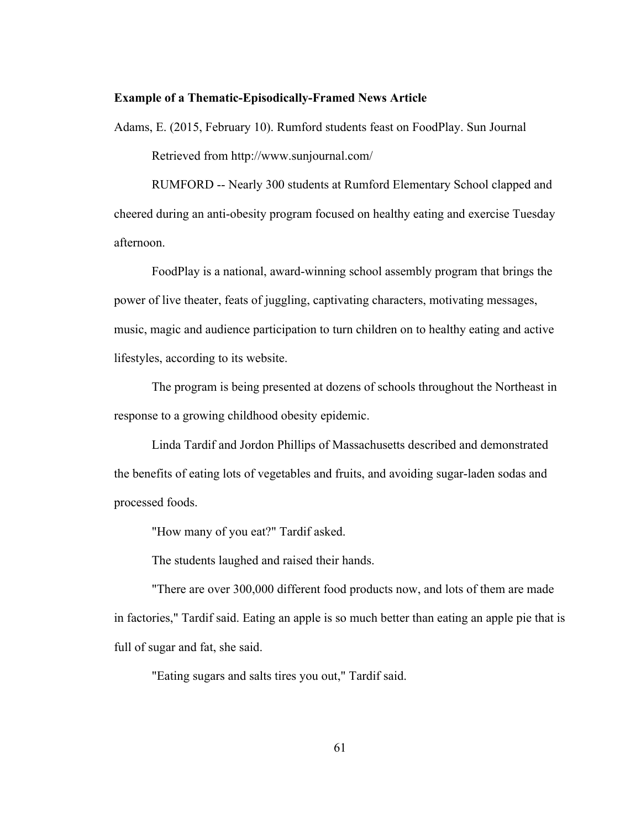#### **Example of a Thematic-Episodically-Framed News Article**

Adams, E. (2015, February 10). Rumford students feast on FoodPlay. Sun Journal Retrieved from http://www.sunjournal.com/

RUMFORD -- Nearly 300 students at Rumford Elementary School clapped and cheered during an anti-obesity program focused on healthy eating and exercise Tuesday afternoon.

FoodPlay is a national, award-winning school assembly program that brings the power of live theater, feats of juggling, captivating characters, motivating messages, music, magic and audience participation to turn children on to healthy eating and active lifestyles, according to its website.

The program is being presented at dozens of schools throughout the Northeast in response to a growing childhood obesity epidemic.

Linda Tardif and Jordon Phillips of Massachusetts described and demonstrated the benefits of eating lots of vegetables and fruits, and avoiding sugar-laden sodas and processed foods.

"How many of you eat?" Tardif asked.

The students laughed and raised their hands.

"There are over 300,000 different food products now, and lots of them are made in factories," Tardif said. Eating an apple is so much better than eating an apple pie that is full of sugar and fat, she said.

"Eating sugars and salts tires you out," Tardif said.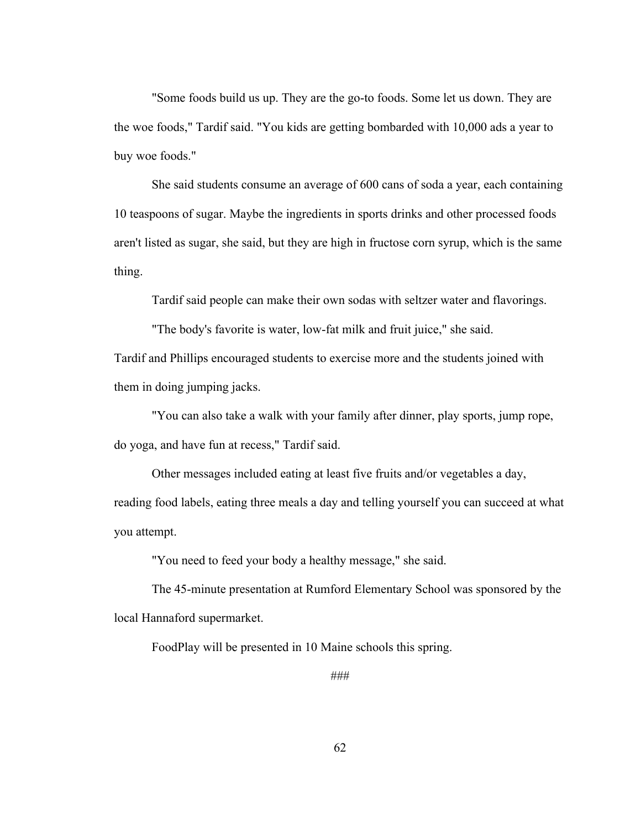"Some foods build us up. They are the go-to foods. Some let us down. They are the woe foods," Tardif said. "You kids are getting bombarded with 10,000 ads a year to buy woe foods."

She said students consume an average of 600 cans of soda a year, each containing 10 teaspoons of sugar. Maybe the ingredients in sports drinks and other processed foods aren't listed as sugar, she said, but they are high in fructose corn syrup, which is the same thing.

Tardif said people can make their own sodas with seltzer water and flavorings.

"The body's favorite is water, low-fat milk and fruit juice," she said.

Tardif and Phillips encouraged students to exercise more and the students joined with them in doing jumping jacks.

"You can also take a walk with your family after dinner, play sports, jump rope, do yoga, and have fun at recess," Tardif said.

Other messages included eating at least five fruits and/or vegetables a day, reading food labels, eating three meals a day and telling yourself you can succeed at what you attempt.

"You need to feed your body a healthy message," she said.

The 45-minute presentation at Rumford Elementary School was sponsored by the local Hannaford supermarket.

FoodPlay will be presented in 10 Maine schools this spring.

###